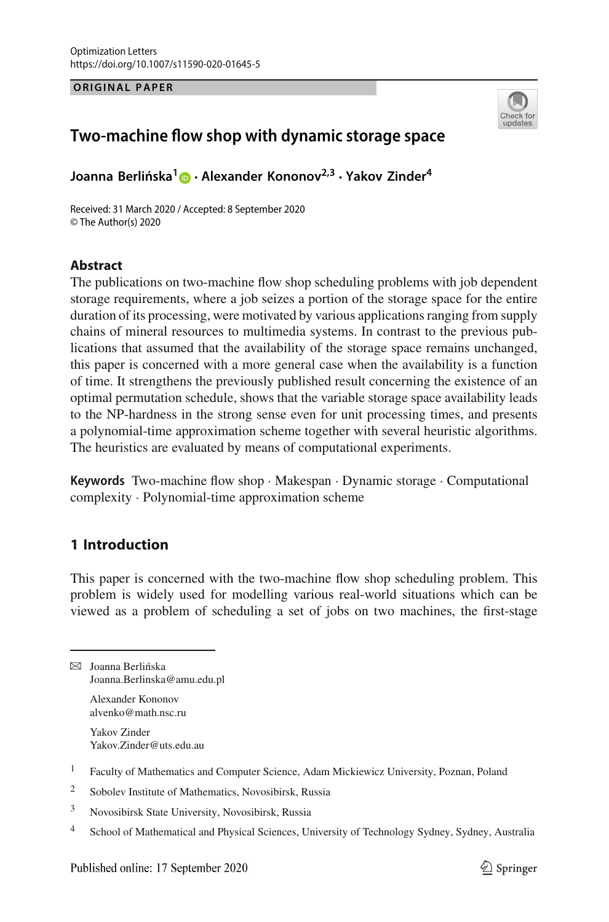**ORIGINAL PAPER**



# **Two-machine flow shop with dynamic storage space**

**Joanna Berlińska<sup>[1](http://orcid.org/0000-0003-2120-2595)</sup> • Alexander Kononov<sup>2,3</sup> · Yakov Zinder<sup>4</sup>** 

Received: 31 March 2020 / Accepted: 8 September 2020 © The Author(s) 2020

#### **Abstract**

The publications on two-machine flow shop scheduling problems with job dependent storage requirements, where a job seizes a portion of the storage space for the entire duration of its processing, were motivated by various applications ranging from supply chains of mineral resources to multimedia systems. In contrast to the previous publications that assumed that the availability of the storage space remains unchanged, this paper is concerned with a more general case when the availability is a function of time. It strengthens the previously published result concerning the existence of an optimal permutation schedule, shows that the variable storage space availability leads to the NP-hardness in the strong sense even for unit processing times, and presents a polynomial-time approximation scheme together with several heuristic algorithms. The heuristics are evaluated by means of computational experiments.

**Keywords** Two-machine flow shop · Makespan · Dynamic storage · Computational complexity · Polynomial-time approximation scheme

## **1 Introduction**

This paper is concerned with the two-machine flow shop scheduling problem. This problem is widely used for modelling various real-world situations which can be viewed as a problem of scheduling a set of jobs on two machines, the first-stage

 $\boxtimes$  Joanna Berlińska Joanna.Berlinska@amu.edu.pl Alexander Kononov alvenko@math.nsc.ru

> Yakov Zinder Yakov.Zinder@uts.edu.au

- <sup>1</sup> Faculty of Mathematics and Computer Science, Adam Mickiewicz University, Poznan, Poland
- <sup>2</sup> Sobolev Institute of Mathematics, Novosibirsk, Russia
- <sup>3</sup> Novosibirsk State University, Novosibirsk, Russia
- 4 School of Mathematical and Physical Sciences, University of Technology Sydney, Sydney, Australia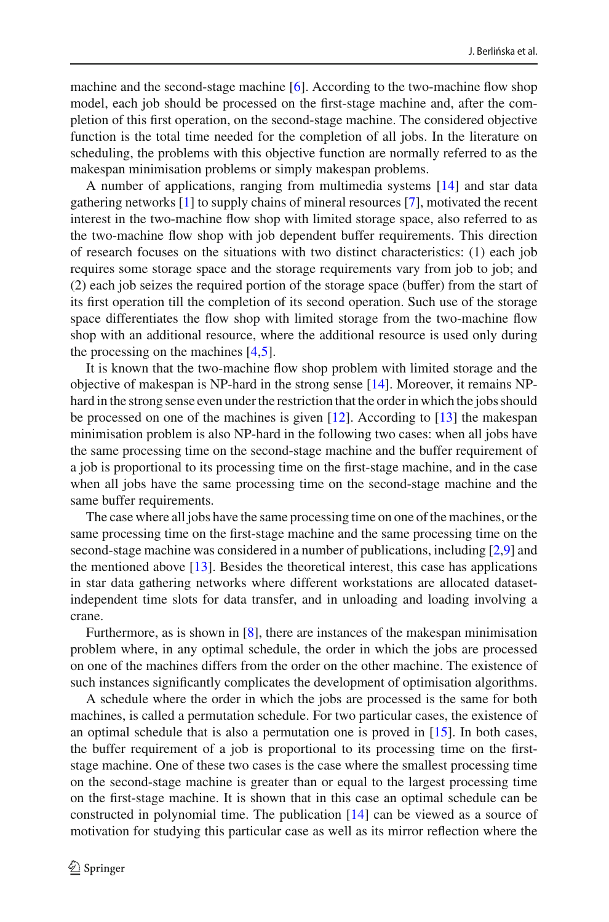machine and the second-stage machine [\[6](#page-21-0)]. According to the two-machine flow shop model, each job should be processed on the first-stage machine and, after the completion of this first operation, on the second-stage machine. The considered objective function is the total time needed for the completion of all jobs. In the literature on scheduling, the problems with this objective function are normally referred to as the makespan minimisation problems or simply makespan problems.

A number of applications, ranging from multimedia systems [\[14](#page-21-1)] and star data gathering networks [\[1](#page-21-2)] to supply chains of mineral resources [\[7\]](#page-21-3), motivated the recent interest in the two-machine flow shop with limited storage space, also referred to as the two-machine flow shop with job dependent buffer requirements. This direction of research focuses on the situations with two distinct characteristics: (1) each job requires some storage space and the storage requirements vary from job to job; and (2) each job seizes the required portion of the storage space (buffer) from the start of its first operation till the completion of its second operation. Such use of the storage space differentiates the flow shop with limited storage from the two-machine flow shop with an additional resource, where the additional resource is used only during the processing on the machines [\[4](#page-21-4)[,5\]](#page-21-5).

It is known that the two-machine flow shop problem with limited storage and the objective of makespan is NP-hard in the strong sense [\[14\]](#page-21-1). Moreover, it remains NPhard in the strong sense even under the restriction that the order in which the jobs should be processed on one of the machines is given [\[12\]](#page-21-6). According to [\[13](#page-21-7)] the makespan minimisation problem is also NP-hard in the following two cases: when all jobs have the same processing time on the second-stage machine and the buffer requirement of a job is proportional to its processing time on the first-stage machine, and in the case when all jobs have the same processing time on the second-stage machine and the same buffer requirements.

The case where all jobs have the same processing time on one of the machines, or the same processing time on the first-stage machine and the same processing time on the second-stage machine was considered in a number of publications, including [\[2](#page-21-8)[,9\]](#page-21-9) and the mentioned above  $[13]$  $[13]$ . Besides the theoretical interest, this case has applications in star data gathering networks where different workstations are allocated datasetindependent time slots for data transfer, and in unloading and loading involving a crane.

Furthermore, as is shown in [\[8\]](#page-21-10), there are instances of the makespan minimisation problem where, in any optimal schedule, the order in which the jobs are processed on one of the machines differs from the order on the other machine. The existence of such instances significantly complicates the development of optimisation algorithms.

A schedule where the order in which the jobs are processed is the same for both machines, is called a permutation schedule. For two particular cases, the existence of an optimal schedule that is also a permutation one is proved in [\[15](#page-21-11)]. In both cases, the buffer requirement of a job is proportional to its processing time on the firststage machine. One of these two cases is the case where the smallest processing time on the second-stage machine is greater than or equal to the largest processing time on the first-stage machine. It is shown that in this case an optimal schedule can be constructed in polynomial time. The publication [\[14](#page-21-1)] can be viewed as a source of motivation for studying this particular case as well as its mirror reflection where the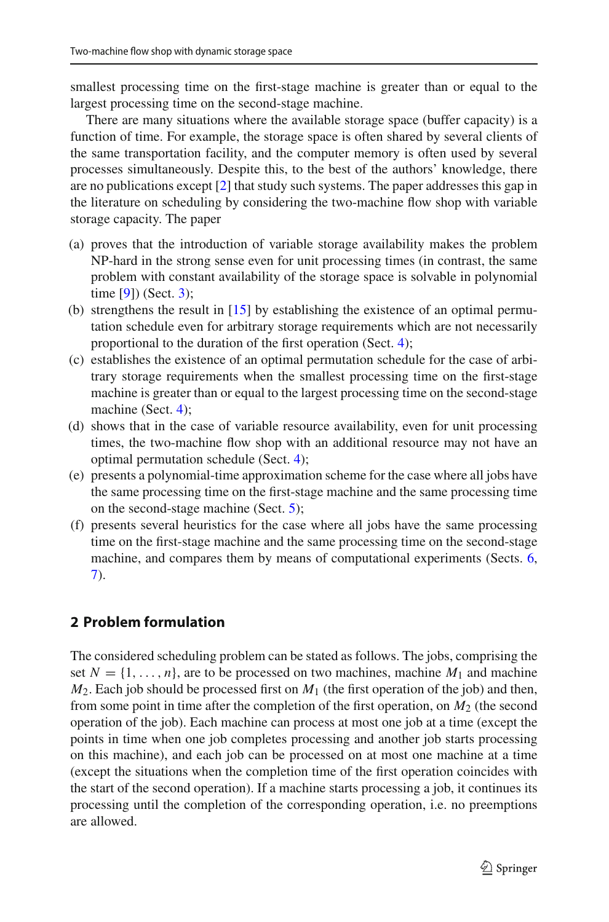smallest processing time on the first-stage machine is greater than or equal to the largest processing time on the second-stage machine.

There are many situations where the available storage space (buffer capacity) is a function of time. For example, the storage space is often shared by several clients of the same transportation facility, and the computer memory is often used by several processes simultaneously. Despite this, to the best of the authors' knowledge, there are no publications except [\[2\]](#page-21-8) that study such systems. The paper addresses this gap in the literature on scheduling by considering the two-machine flow shop with variable storage capacity. The paper

- (a) proves that the introduction of variable storage availability makes the problem NP-hard in the strong sense even for unit processing times (in contrast, the same problem with constant availability of the storage space is solvable in polynomial time [\[9](#page-21-9)]) (Sect. [3\)](#page-4-0);
- (b) strengthens the result in [\[15\]](#page-21-11) by establishing the existence of an optimal permutation schedule even for arbitrary storage requirements which are not necessarily proportional to the duration of the first operation (Sect. [4\)](#page-5-0);
- (c) establishes the existence of an optimal permutation schedule for the case of arbitrary storage requirements when the smallest processing time on the first-stage machine is greater than or equal to the largest processing time on the second-stage machine (Sect. [4\)](#page-5-0);
- (d) shows that in the case of variable resource availability, even for unit processing times, the two-machine flow shop with an additional resource may not have an optimal permutation schedule (Sect. [4\)](#page-5-0);
- (e) presents a polynomial-time approximation scheme for the case where all jobs have the same processing time on the first-stage machine and the same processing time on the second-stage machine (Sect. [5\)](#page-9-0);
- (f) presents several heuristics for the case where all jobs have the same processing time on the first-stage machine and the same processing time on the second-stage machine, and compares them by means of computational experiments (Sects. [6,](#page-10-0) [7\)](#page-12-0).

## **2 Problem formulation**

The considered scheduling problem can be stated as follows. The jobs, comprising the set  $N = \{1, \ldots, n\}$ , are to be processed on two machines, machine  $M_1$  and machine  $M_2$ . Each job should be processed first on  $M_1$  (the first operation of the job) and then, from some point in time after the completion of the first operation, on *M*<sup>2</sup> (the second operation of the job). Each machine can process at most one job at a time (except the points in time when one job completes processing and another job starts processing on this machine), and each job can be processed on at most one machine at a time (except the situations when the completion time of the first operation coincides with the start of the second operation). If a machine starts processing a job, it continues its processing until the completion of the corresponding operation, i.e. no preemptions are allowed.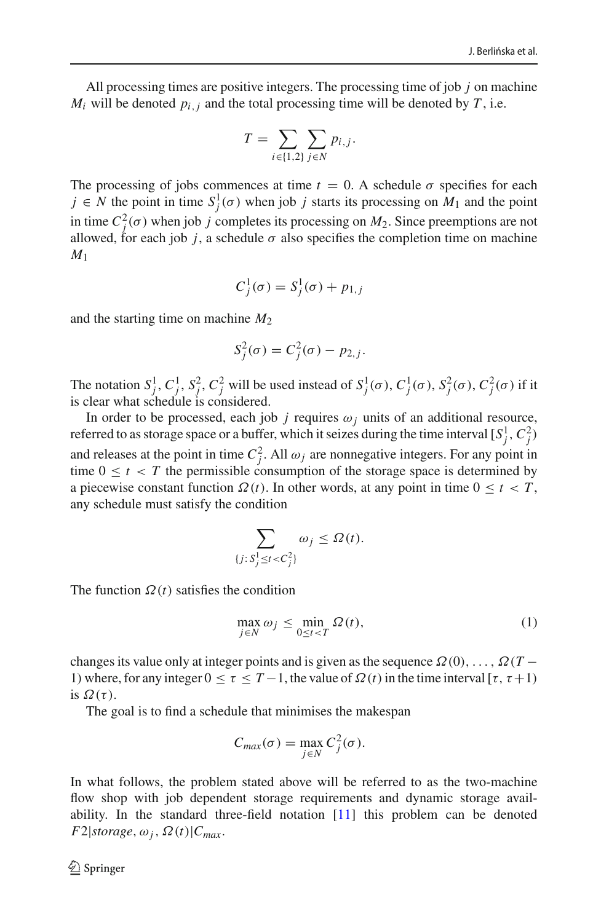All processing times are positive integers. The processing time of job *j* on machine  $M_i$  will be denoted  $p_{i,j}$  and the total processing time will be denoted by  $T$ , i.e.

$$
T = \sum_{i \in \{1,2\}} \sum_{j \in N} p_{i,j}.
$$

The processing of jobs commences at time  $t = 0$ . A schedule  $\sigma$  specifies for each  $j \in N$  the point in time  $S_j^1(\sigma)$  when job *j* starts its processing on  $M_1$  and the point in time  $C_j^2(\sigma)$  when job *j* completes its processing on  $M_2$ . Since preemptions are not allowed, for each job *j*, a schedule  $\sigma$  also specifies the completion time on machine *M*<sup>1</sup>

$$
C_j^1(\sigma) = S_j^1(\sigma) + p_{1,j}
$$

and the starting time on machine *M*<sup>2</sup>

$$
S_j^2(\sigma) = C_j^2(\sigma) - p_{2,j}.
$$

The notation  $S_j^1$ ,  $C_j^1$ ,  $S_j^2$ ,  $C_j^2$  will be used instead of  $S_j^1(\sigma)$ ,  $C_j^1(\sigma)$ ,  $S_j^2(\sigma)$ ,  $C_j^2(\sigma)$  if it is clear what schedule is considered.

In order to be processed, each job *j* requires  $\omega_i$  units of an additional resource, referred to as storage space or a buffer, which it seizes during the time interval  $[S_j^1, C_j^2)$ and releases at the point in time  $C_j^2$ . All  $\omega_j$  are nonnegative integers. For any point in time  $0 \le t < T$  the permissible consumption of the storage space is determined by a piecewise constant function  $\Omega(t)$ . In other words, at any point in time  $0 \le t < T$ , any schedule must satisfy the condition

$$
\sum_{j\colon S_j^1 \leq t < C_j^2} \omega_j \leq \Omega(t).
$$

The function  $\Omega(t)$  satisfies the condition

<span id="page-3-0"></span>
$$
\max_{j \in N} \omega_j \le \min_{0 \le t < T} \Omega(t),\tag{1}
$$

changes its value only at integer points and is given as the sequence  $\Omega(0), \ldots, \Omega(T -$ 1) where, for any integer  $0 \le \tau \le T-1$ , the value of  $\Omega(t)$  in the time interval [ $\tau$ ,  $\tau$ +1) is  $\Omega(\tau)$ .

The goal is to find a schedule that minimises the makespan

{*j*: *<sup>S</sup>*<sup>1</sup>

$$
C_{max}(\sigma) = \max_{j \in N} C_j^2(\sigma).
$$

In what follows, the problem stated above will be referred to as the two-machine flow shop with job dependent storage requirements and dynamic storage availability. In the standard three-field notation [\[11\]](#page-21-12) this problem can be denoted  $F2|storage, \omega_i, \Omega(t)|C_{max}.$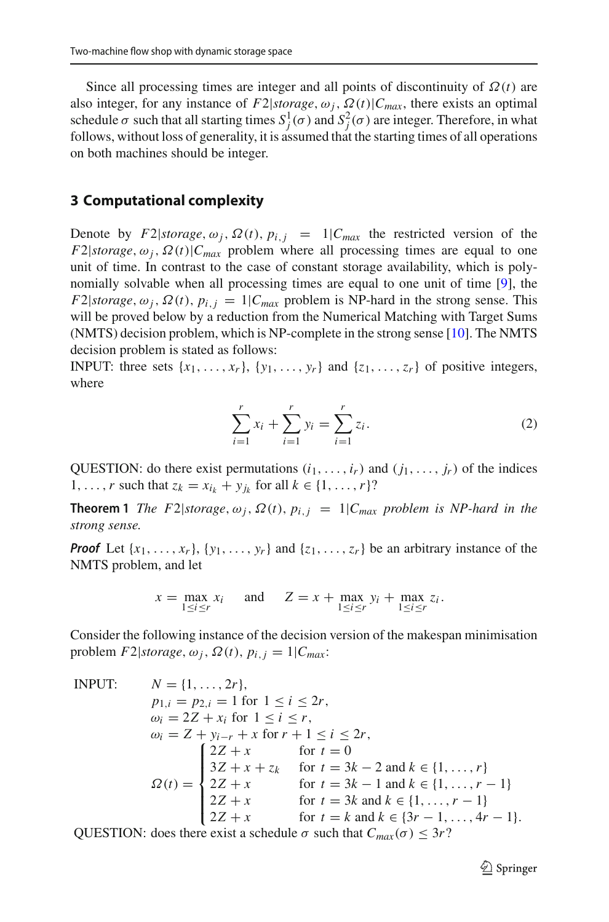Since all processing times are integer and all points of discontinuity of  $\Omega(t)$  are also integer, for any instance of  $F2|storage, \omega_j, \Omega(t)|C_{max}$ , there exists an optimal schedule  $\sigma$  such that all starting times  $S_j^1(\sigma)$  and  $S_j^2(\sigma)$  are integer. Therefore, in what follows, without loss of generality, it is assumed that the starting times of all operations on both machines should be integer.

#### <span id="page-4-0"></span>**3 Computational complexity**

Denote by *F*2|*storage*,  $\omega_i$ ,  $\Omega(t)$ ,  $p_{i,i} = 1|C_{max}$  the restricted version of the *F*2|*storage*,  $\omega_i$ ,  $\Omega(t)$ |*C<sub>max</sub>* problem where all processing times are equal to one unit of time. In contrast to the case of constant storage availability, which is polynomially solvable when all processing times are equal to one unit of time [\[9\]](#page-21-9), the  $F2|storage, \omega_j, \Omega(t), p_{i,j} = 1|C_{max}$  problem is NP-hard in the strong sense. This will be proved below by a reduction from the Numerical Matching with Target Sums (NMTS) decision problem, which is NP-complete in the strong sense [\[10](#page-21-13)]. The NMTS decision problem is stated as follows:

INPUT: three sets  $\{x_1, \ldots, x_r\}$ ,  $\{y_1, \ldots, y_r\}$  and  $\{z_1, \ldots, z_r\}$  of positive integers, where

<span id="page-4-1"></span>
$$
\sum_{i=1}^{r} x_i + \sum_{i=1}^{r} y_i = \sum_{i=1}^{r} z_i.
$$
 (2)

QUESTION: do there exist permutations  $(i_1, \ldots, i_r)$  and  $(j_1, \ldots, j_r)$  of the indices 1, ..., *r* such that  $z_k = x_{i_k} + y_{j_k}$  for all  $k \in \{1, ..., r\}$ ?

**Theorem 1** *The F2* $|$ *storage*,  $\omega_j$ ,  $\Omega(t)$ ,  $p_{i,j} = 1 | C_{max}$  *problem is NP-hard in the strong sense.*

*Proof* Let  $\{x_1, \ldots, x_r\}$ ,  $\{y_1, \ldots, y_r\}$  and  $\{z_1, \ldots, z_r\}$  be an arbitrary instance of the NMTS problem, and let

$$
x = \max_{1 \le i \le r} x_i \quad \text{and} \quad Z = x + \max_{1 \le i \le r} y_i + \max_{1 \le i \le r} z_i.
$$

Consider the following instance of the decision version of the makespan minimisation problem  $F2|storage, \omega_j, \Omega(t), p_{i,j} = 1|C_{max}$ .

INPUT:

\n
$$
N = \{1, \ldots, 2r\},
$$
\n
$$
p_{1,i} = p_{2,i} = 1 \text{ for } 1 \leq i \leq 2r,
$$
\n
$$
\omega_i = 2Z + x_i \text{ for } 1 \leq i \leq r,
$$
\n
$$
\omega_i = Z + y_{i-r} + x \text{ for } r+1 \leq i \leq 2r,
$$
\n
$$
\omega_i = \begin{cases} 2Z + x & \text{for } t = 0\\ 3Z + x + z_k & \text{for } t = 3k - 2 \text{ and } k \in \{1, \ldots, r\} \end{cases}
$$
\n
$$
\Omega(t) = \begin{cases} 2Z + x & \text{for } t = 3k - 2 \text{ and } k \in \{1, \ldots, r-1\} \\ 2Z + x & \text{for } t = 3k \text{ and } k \in \{1, \ldots, r-1\} \\ 2Z + x & \text{for } t = k \text{ and } k \in \{3r - 1, \ldots, 4r - 1\}.\end{cases}
$$

QUESTION: does there exist a schedule  $\sigma$  such that  $C_{max}(\sigma) \leq 3r$ ?

 $\mathcal{D}$  Springer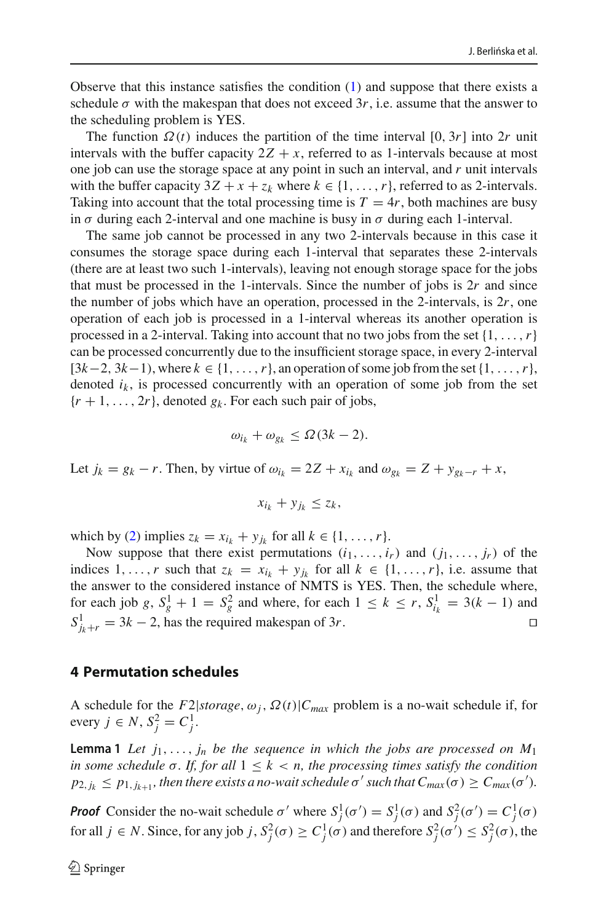Observe that this instance satisfies the condition [\(1\)](#page-3-0) and suppose that there exists a schedule  $\sigma$  with the makespan that does not exceed 3r, i.e. assume that the answer to the scheduling problem is YES.

The function  $\Omega(t)$  induces the partition of the time interval  $[0, 3r]$  into 2*r* unit intervals with the buffer capacity  $2Z + x$ , referred to as 1-intervals because at most one job can use the storage space at any point in such an interval, and *r* unit intervals with the buffer capacity  $3Z + x + z_k$  where  $k \in \{1, \ldots, r\}$ , referred to as 2-intervals. Taking into account that the total processing time is  $T = 4r$ , both machines are busy in  $\sigma$  during each 2-interval and one machine is busy in  $\sigma$  during each 1-interval.

The same job cannot be processed in any two 2-intervals because in this case it consumes the storage space during each 1-interval that separates these 2-intervals (there are at least two such 1-intervals), leaving not enough storage space for the jobs that must be processed in the 1-intervals. Since the number of jobs is 2*r* and since the number of jobs which have an operation, processed in the 2-intervals, is 2*r*, one operation of each job is processed in a 1-interval whereas its another operation is processed in a 2-interval. Taking into account that no two jobs from the set  $\{1, \ldots, r\}$ can be processed concurrently due to the insufficient storage space, in every 2-interval  $[3k-2, 3k-1)$ , where  $k \in \{1, \ldots, r\}$ , an operation of some job from the set  $\{1, \ldots, r\}$ , denoted  $i_k$ , is processed concurrently with an operation of some job from the set  $\{r+1,\ldots,2r\}$ , denoted  $g_k$ . For each such pair of jobs,

$$
\omega_{i_k} + \omega_{g_k} \leq \Omega(3k - 2).
$$

Let  $j_k = g_k - r$ . Then, by virtue of  $\omega_{i_k} = 2Z + x_{i_k}$  and  $\omega_{g_k} = Z + y_{g_k-r} + x$ ,

$$
x_{i_k} + y_{j_k} \le z_k,
$$

which by [\(2\)](#page-4-1) implies  $z_k = x_{i_k} + y_{j_k}$  for all  $k \in \{1, \ldots, r\}$ .

Now suppose that there exist permutations  $(i_1, \ldots, i_r)$  and  $(j_1, \ldots, j_r)$  of the indices 1,...,*r* such that  $z_k = x_{i_k} + y_{j_k}$  for all  $k \in \{1, ..., r\}$ , i.e. assume that the answer to the considered instance of NMTS is YES. Then, the schedule where, for each job *g*,  $S_g^1 + 1 = S_g^2$  and where, for each  $1 \le k \le r$ ,  $S_{i_k}^1 = 3(k - 1)$  and  $S_{j_k+r}^1 = 3k - 2$ , has the required makespan of 3*r*.

#### <span id="page-5-0"></span>**4 Permutation schedules**

<span id="page-5-1"></span>A schedule for the  $F2|storage, \omega_j, \Omega(t)|C_{max}$  problem is a no-wait schedule if, for  $every j ∈ N, S_j^2 = C_j^1$ .

**Lemma 1** Let  $j_1, \ldots, j_n$  be the sequence in which the jobs are processed on  $M_1$ *in some schedule*  $\sigma$ *. If, for all*  $1 \leq k < n$ *, the processing times satisfy the condition*  $p_{2,j_k} \leq p_{1,j_{k+1}}$ , then there exists a no-wait schedule  $\sigma'$  such that  $C_{max}(\sigma) \geq C_{max}(\sigma').$ 

*Proof* Consider the no-wait schedule  $\sigma'$  where  $S_j^1(\sigma') = S_j^1(\sigma)$  and  $S_j^2(\sigma') = C_j^1(\sigma)$ for all  $j \in N$ . Since, for any job  $j$ ,  $S_j^2(\sigma) \ge C_j^1(\sigma)$  and therefore  $S_j^2(\sigma') \le S_j^2(\sigma)$ , the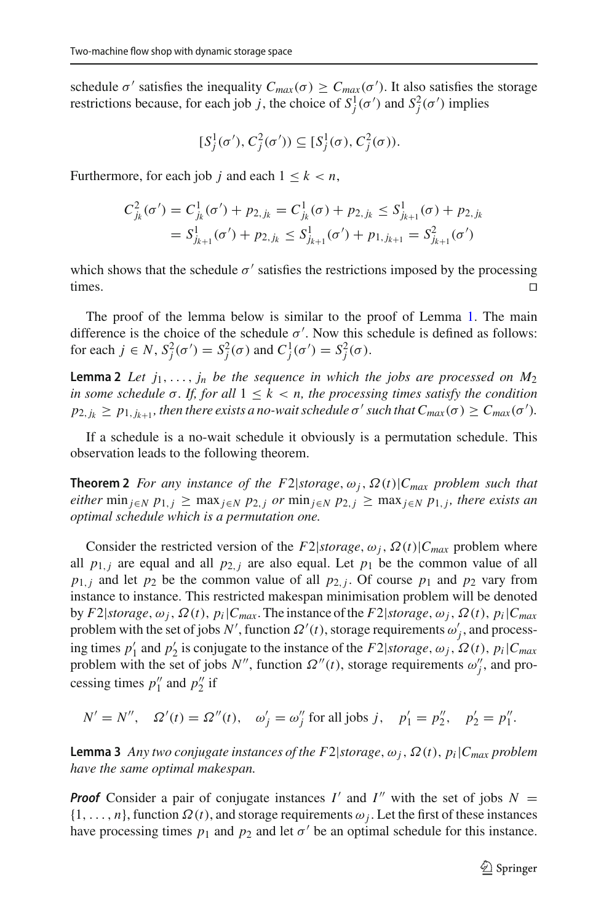schedule  $\sigma'$  satisfies the inequality  $C_{max}(\sigma) \geq C_{max}(\sigma')$ . It also satisfies the storage restrictions because, for each job *j*, the choice of  $S_j^1(\sigma')$  and  $S_j^2(\sigma')$  implies

<span id="page-6-0"></span>
$$
[S_j^1(\sigma'), C_j^2(\sigma')) \subseteq [S_j^1(\sigma), C_j^2(\sigma)).
$$

Furthermore, for each job *j* and each  $1 \leq k < n$ ,

$$
C_{j_k}^2(\sigma') = C_{j_k}^1(\sigma') + p_{2,j_k} = C_{j_k}^1(\sigma) + p_{2,j_k} \leq S_{j_{k+1}}^1(\sigma) + p_{2,j_k}
$$
  
=  $S_{j_{k+1}}^1(\sigma') + p_{2,j_k} \leq S_{j_{k+1}}^1(\sigma') + p_{1,j_{k+1}} = S_{j_{k+1}}^2(\sigma')$ 

which shows that the schedule  $\sigma'$  satisfies the restrictions imposed by the processing times.  $\square$ 

The proof of the lemma below is similar to the proof of Lemma [1.](#page-5-1) The main difference is the choice of the schedule  $\sigma'$ . Now this schedule is defined as follows: for each  $j \in N$ ,  $S_j^2(\sigma') = S_j^2(\sigma)$  and  $C_j^1(\sigma') = S_j^2(\sigma)$ .

**Lemma 2** *Let*  $j_1, \ldots, j_n$  *be the sequence in which the jobs are processed on*  $M_2$ *in some schedule*  $\sigma$ *. If, for all*  $1 \leq k < n$ *, the processing times satisfy the condition*  $p_{2,j_k} \geq p_{1,j_{k+1}}$ , then there exists a no-wait schedule  $\sigma'$  such that  $C_{max}(\sigma) \geq C_{max}(\sigma').$ 

<span id="page-6-1"></span>If a schedule is a no-wait schedule it obviously is a permutation schedule. This observation leads to the following theorem.

**Theorem 2** *For any instance of the F2*|*storage*,  $\omega_i$ ,  $\Omega(t)$ |*C<sub>max</sub> problem such that either* min<sub>*j*∈*N*</sub>  $p_{1,j}$  ≥ max<sub>*j*∈*N*</sub>  $p_{2,j}$  *or* min<sub>*j*∈*N*</sub>  $p_{2,j}$  ≥ max<sub>*j*∈*N*</sub>  $p_{1,j}$ *, there exists an optimal schedule which is a permutation one.*

Consider the restricted version of the  $F2|storage, \omega_j, \Omega(t)|C_{max}$  problem where all  $p_{1,j}$  are equal and all  $p_{2,j}$  are also equal. Let  $p_1$  be the common value of all  $p_{1,i}$  and let  $p_2$  be the common value of all  $p_{2,i}$ . Of course  $p_1$  and  $p_2$  vary from instance to instance. This restricted makespan minimisation problem will be denoted by *F*2|*storage*,  $\omega_i$ ,  $\Omega(t)$ ,  $p_i|C_{max}$ . The instance of the *F*2|*storage*,  $\omega_i$ ,  $\Omega(t)$ ,  $p_i|C_{max}$ problem with the set of jobs  $N'$ , function  $\Omega'(t)$ , storage requirements  $\omega'_j$ , and processing times  $p'_1$  and  $p'_2$  is conjugate to the instance of the  $F2|storage, \omega_j, \Omega(t), p_i|C_{max}$ problem with the set of jobs *N''*, function  $\Omega''(t)$ , storage requirements  $\omega''_j$ , and processing times  $p_1''$  and  $p_2''$  if

$$
N' = N''
$$
,  $\Omega'(t) = \Omega''(t)$ ,  $\omega'_j = \omega''_j$  for all jobs j,  $p'_1 = p''_2$ ,  $p'_2 = p''_1$ .

<span id="page-6-2"></span>**Lemma 3** *Any two conjugate instances of the F2\storage,*  $\omega_i$ *,*  $\Omega(t)$ *,*  $p_i|C_{max}$  *problem have the same optimal makespan.*

*Proof* Consider a pair of conjugate instances  $I'$  and  $I''$  with the set of jobs  $N =$  $\{1, \ldots, n\}$ , function  $\Omega(t)$ , and storage requirements  $\omega_j$ . Let the first of these instances have processing times  $p_1$  and  $p_2$  and let  $\sigma'$  be an optimal schedule for this instance.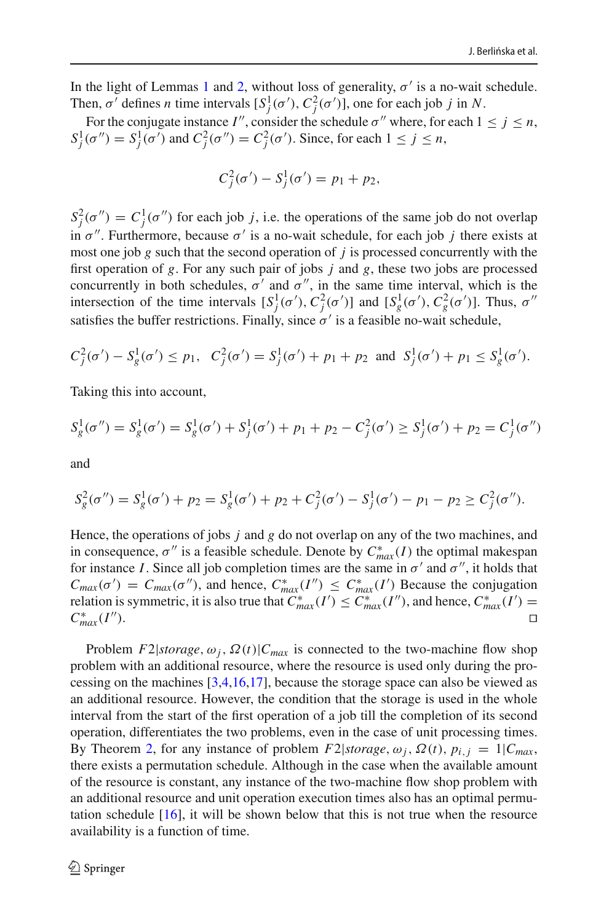In the light of Lemmas [1](#page-5-1) and [2,](#page-6-0) without loss of generality,  $\sigma'$  is a no-wait schedule. Then,  $\sigma'$  defines *n* time intervals  $[S_j^1(\sigma'), C_j^2(\sigma')]$ , one for each job *j* in *N*.

For the conjugate instance *I''*, consider the schedule  $\sigma'$  where, for each  $1 \le j \le n$ ,  $S_j^1(\sigma'') = S_j^1(\sigma')$  and  $C_j^2(\sigma'') = C_j^2(\sigma')$ . Since, for each  $1 \le j \le n$ ,

$$
C_j^2(\sigma') - S_j^1(\sigma') = p_1 + p_2,
$$

 $S_j^2(\sigma'') = C_j^1(\sigma'')$  for each job *j*, i.e. the operations of the same job do not overlap in  $\sigma''$ . Furthermore, because  $\sigma'$  is a no-wait schedule, for each job *j* there exists at most one job *g* such that the second operation of *j* is processed concurrently with the first operation of *g*. For any such pair of jobs *j* and *g*, these two jobs are processed concurrently in both schedules,  $\sigma'$  and  $\sigma''$ , in the same time interval, which is the intersection of the time intervals  $[S_j^1(\sigma'), C_j^2(\sigma')]$  and  $[S_g^1(\sigma'), C_g^2(\sigma')]$ . Thus,  $\sigma''$ satisfies the buffer restrictions. Finally, since  $\sigma'$  is a feasible no-wait schedule,

$$
C_j^2(\sigma') - S_g^1(\sigma') \le p_1
$$
,  $C_j^2(\sigma') = S_j^1(\sigma') + p_1 + p_2$  and  $S_j^1(\sigma') + p_1 \le S_g^1(\sigma')$ .

Taking this into account,

$$
S_g^1(\sigma'') = S_g^1(\sigma') = S_g^1(\sigma') + S_j^1(\sigma') + p_1 + p_2 - C_j^2(\sigma') \ge S_j^1(\sigma') + p_2 = C_j^1(\sigma'')
$$

and

$$
S_g^2(\sigma'') = S_g^1(\sigma') + p_2 = S_g^1(\sigma') + p_2 + C_j^2(\sigma') - S_j^1(\sigma') - p_1 - p_2 \ge C_j^2(\sigma'').
$$

Hence, the operations of jobs *j* and *g* do not overlap on any of the two machines, and in consequence,  $\sigma''$  is a feasible schedule. Denote by  $C^*_{max}(I)$  the optimal makespan for instance *I*. Since all job completion times are the same in  $\sigma'$  and  $\sigma''$ , it holds that  $C_{max}(\sigma') = C_{max}(\sigma'')$ , and hence,  $C_{max}^*(I'') \leq C_{max}^*(I')$  Because the conjugation relation is symmetric, it is also true that  $C^*_{max}(I') \leq C^*_{max}(I'')$ , and hence,  $C^*_{max}(I') =$  $C^*_{max}(I'').$  $max_{max}(I'')$ .

<span id="page-7-0"></span>Problem  $F2|storage, \omega_i, \Omega(t)|C_{max}$  is connected to the two-machine flow shop problem with an additional resource, where the resource is used only during the processing on the machines [\[3](#page-21-14)[,4](#page-21-4)[,16](#page-21-15)[,17](#page-21-16)], because the storage space can also be viewed as an additional resource. However, the condition that the storage is used in the whole interval from the start of the first operation of a job till the completion of its second operation, differentiates the two problems, even in the case of unit processing times. By Theorem [2,](#page-6-1) for any instance of problem  $F2|storage, \omega_j, \Omega(t), p_{i,j} = 1|C_{max}$ , there exists a permutation schedule. Although in the case when the available amount of the resource is constant, any instance of the two-machine flow shop problem with an additional resource and unit operation execution times also has an optimal permutation schedule  $[16]$  $[16]$ , it will be shown below that this is not true when the resource availability is a function of time.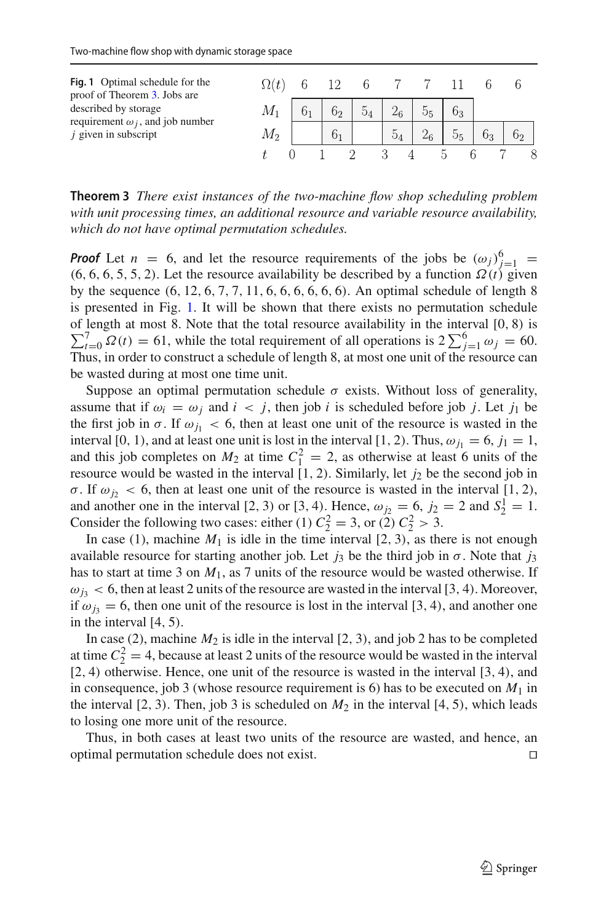<span id="page-8-0"></span>

| Fig. 1 Optimal schedule for the<br>proof of Theorem 3. Jobs are   |        |                |                |                |                |    |  |
|-------------------------------------------------------------------|--------|----------------|----------------|----------------|----------------|----|--|
| described by storage                                              | M1     |                | 5 <sub>4</sub> |                | 6 <sub>3</sub> |    |  |
| requirement $\omega_i$ , and job number<br>$i$ given in subscript | IVI 9. | 0 <sub>1</sub> |                | 0 <sub>4</sub> | 55             | 63 |  |
|                                                                   |        |                |                |                |                |    |  |

**Theorem 3** *There exist instances of the two-machine flow shop scheduling problem with unit processing times, an additional resource and variable resource availability, which do not have optimal permutation schedules.*

*Proof* Let  $n = 6$ , and let the resource requirements of the jobs be  $(\omega_j)_{j=1}^6 =$ (6, 6, 6, 5, 5, 2). Let the resource availability be described by a function  $\Omega(t)$  given by the sequence  $(6, 12, 6, 7, 7, 11, 6, 6, 6, 6, 6, 6)$ . An optimal schedule of length 8 is presented in Fig. [1.](#page-8-0) It will be shown that there exists no permutation schedule of length at most 8. Note that the total resource availability in the interval [0, 8) is  $\sum_{t=0}^{7} \Omega(t) = 61$ , while the total requirement of all operations is  $2 \sum_{j=1}^{6} \omega_j = 60$ . Thus, in order to construct a schedule of length 8, at most one unit of the resource can be wasted during at most one time unit.

Suppose an optimal permutation schedule  $\sigma$  exists. Without loss of generality, assume that if  $\omega_i = \omega_j$  and  $i < j$ , then job *i* is scheduled before job *j*. Let *j*<sub>1</sub> be the first job in  $\sigma$ . If  $\omega_{j_1} < 6$ , then at least one unit of the resource is wasted in the interval [0, 1), and at least one unit is lost in the interval [1, 2). Thus,  $\omega_{j1} = 6$ ,  $j_1 = 1$ , and this job completes on  $M_2$  at time  $C_1^2 = 2$ , as otherwise at least 6 units of the resource would be wasted in the interval  $[1, 2)$ . Similarly, let  $j_2$  be the second job in σ. If  $ω_j$  < 6, then at least one unit of the resource is wasted in the interval [1, 2), and another one in the interval [2, 3) or [3, 4). Hence,  $\omega_{j_2} = 6$ ,  $j_2 = 2$  and  $S_2^1 = 1$ . Consider the following two cases: either (1)  $C_2^2 = 3$ , or (2)  $C_2^2 > 3$ .

In case (1), machine  $M_1$  is idle in the time interval  $[2, 3)$ , as there is not enough available resource for starting another job. Let  $j_3$  be the third job in  $\sigma$ . Note that  $j_3$ has to start at time 3 on  $M_1$ , as 7 units of the resource would be wasted otherwise. If  $\omega_{i3}$  < 6, then at least 2 units of the resource are wasted in the interval [3, 4). Moreover, if  $\omega_{i3} = 6$ , then one unit of the resource is lost in the interval [3, 4), and another one in the interval [4, 5).

In case (2), machine  $M_2$  is idle in the interval [2, 3), and job 2 has to be completed at time  $C_2^2 = 4$ , because at least 2 units of the resource would be wasted in the interval [2, 4) otherwise. Hence, one unit of the resource is wasted in the interval [3, 4), and in consequence, job 3 (whose resource requirement is 6) has to be executed on  $M_1$  in the interval  $[2, 3)$ . Then, job 3 is scheduled on  $M_2$  in the interval  $[4, 5)$ , which leads to losing one more unit of the resource.

Thus, in both cases at least two units of the resource are wasted, and hence, an optimal permutation schedule does not exist.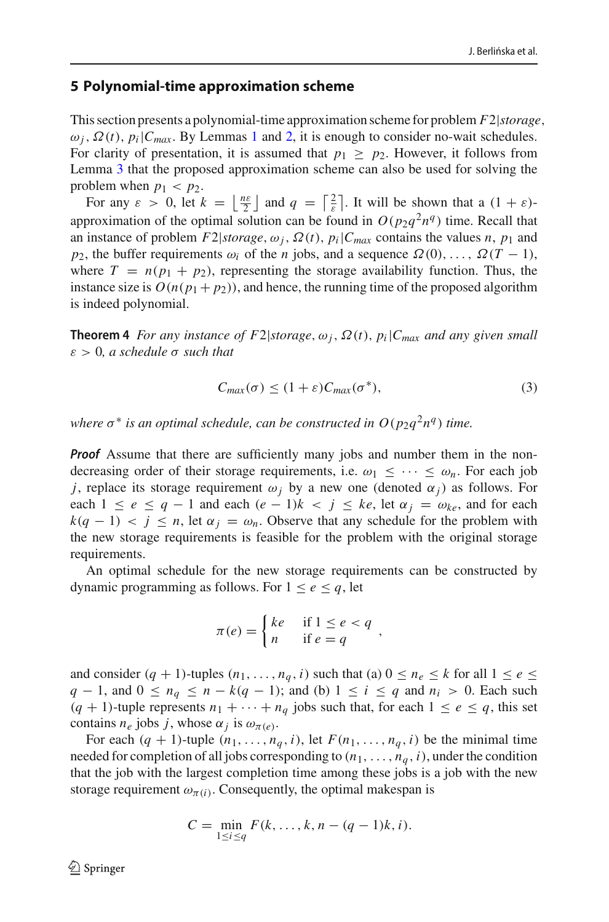#### <span id="page-9-0"></span>**5 Polynomial-time approximation scheme**

This section presents a polynomial-time approximation scheme for problem *F*2|*storage*,  $\omega_i$ ,  $\Omega(t)$ ,  $p_i|C_{max}$ . By Lemmas [1](#page-5-1) and [2,](#page-6-0) it is enough to consider no-wait schedules. For clarity of presentation, it is assumed that  $p_1 \geq p_2$ . However, it follows from Lemma [3](#page-6-2) that the proposed approximation scheme can also be used for solving the problem when  $p_1 < p_2$ .

For any  $\varepsilon > 0$ , let  $k = \left\lfloor \frac{n\varepsilon}{2} \right\rfloor$  and  $q = \left\lceil \frac{2}{\varepsilon} \right\rceil$ . It will be shown that a  $(1 + \varepsilon)$ approximation of the optimal solution can be found in  $O(p_2q^2n^q)$  time. Recall that an instance of problem  $F2|storage, \omega_i, \Omega(t), p_i|C_{max}$  contains the values *n*,  $p_1$  and *p*<sub>2</sub>, the buffer requirements  $\omega_i$  of the *n* jobs, and a sequence  $\Omega(0), \ldots, \Omega(T-1)$ , where  $T = n(p_1 + p_2)$ , representing the storage availability function. Thus, the instance size is  $O(n(p_1 + p_2))$ , and hence, the running time of the proposed algorithm is indeed polynomial.

**Theorem 4** *For any instance of F2*|*storage*,  $\omega_i$ ,  $\Omega(t)$ ,  $p_i$ | $C_{max}$  *and any given small* ε > 0*, a schedule* σ *such that*

<span id="page-9-1"></span>
$$
C_{max}(\sigma) \le (1+\varepsilon)C_{max}(\sigma^*),\tag{3}
$$

*where*  $\sigma^*$  *is an optimal schedule, can be constructed in*  $O(p_2q^2n^q)$  *time.* 

*Proof* Assume that there are sufficiently many jobs and number them in the nondecreasing order of their storage requirements, i.e.  $\omega_1 \leq \cdots \leq \omega_n$ . For each job *j*, replace its storage requirement  $\omega_i$  by a new one (denoted  $\alpha_i$ ) as follows. For each  $1 \le e \le q - 1$  and each  $(e - 1)k < j \le ke$ , let  $\alpha_j = \omega_{ke}$ , and for each  $k(q-1) < j \le n$ , let  $\alpha_j = \omega_n$ . Observe that any schedule for the problem with the new storage requirements is feasible for the problem with the original storage requirements.

An optimal schedule for the new storage requirements can be constructed by dynamic programming as follows. For  $1 \leq e \leq q$ , let

$$
\pi(e) = \begin{cases} ke & \text{if } 1 \le e < q \\ n & \text{if } e = q \end{cases}
$$

and consider  $(q + 1)$ -tuples  $(n_1, \ldots, n_q, i)$  such that (a)  $0 \le n_e \le k$  for all  $1 \le e \le$ *q* − 1, and  $0 \le n_q \le n - k(q - 1)$ ; and (b)  $1 \le i \le q$  and  $n_i > 0$ . Each such  $(q + 1)$ -tuple represents  $n_1 + \cdots + n_q$  jobs such that, for each  $1 \leq e \leq q$ , this set contains  $n_e$  jobs *j*, whose  $\alpha_j$  is  $\omega_{\pi(e)}$ .

For each  $(q + 1)$ -tuple  $(n_1, \ldots, n_q, i)$ , let  $F(n_1, \ldots, n_q, i)$  be the minimal time needed for completion of all jobs corresponding to  $(n_1, \ldots, n_q, i)$ , under the condition that the job with the largest completion time among these jobs is a job with the new storage requirement  $\omega_{\pi(i)}$ . Consequently, the optimal makespan is

$$
C = \min_{1 \le i \le q} F(k, ..., k, n - (q - 1)k, i).
$$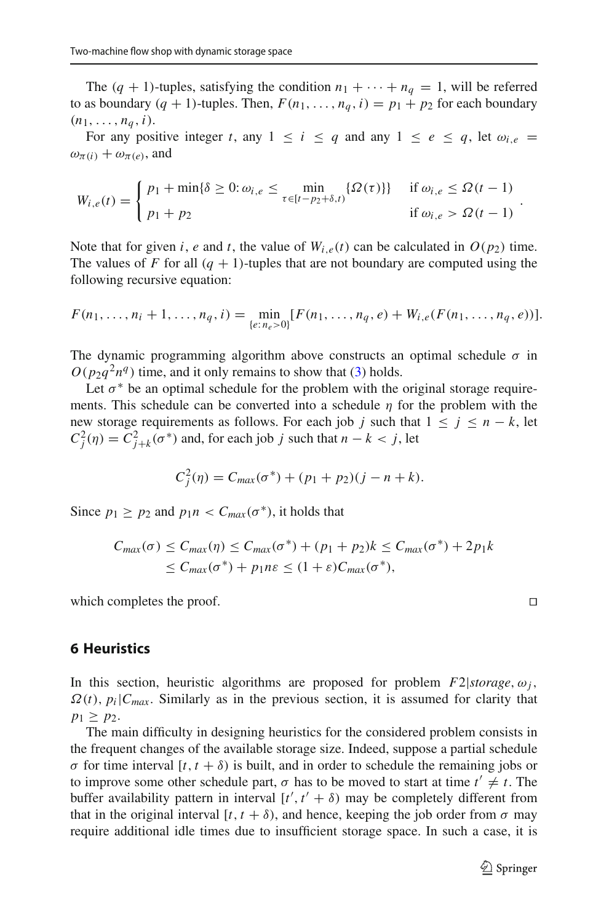The  $(q + 1)$ -tuples, satisfying the condition  $n_1 + \cdots + n_q = 1$ , will be referred to as boundary  $(q + 1)$ -tuples. Then,  $F(n_1, \ldots, n_q, i) = p_1 + p_2$  for each boundary  $(n_1, \ldots, n_a, i).$ 

For any positive integer *t*, any  $1 \le i \le q$  and any  $1 \le e \le q$ , let  $\omega_{i,e}$  $\omega_{\pi(i)} + \omega_{\pi(e)}$ , and

$$
W_{i,e}(t) = \begin{cases} p_1 + \min\{\delta \ge 0 : \omega_{i,e} \le \min_{\tau \in [t-p_2+\delta,t)} \{\Omega(\tau)\} & \text{if } \omega_{i,e} \le \Omega(t-1) \\ p_1 + p_2 & \text{if } \omega_{i,e} > \Omega(t-1) \end{cases}
$$

Note that for given *i*, *e* and *t*, the value of  $W_{i,e}(t)$  can be calculated in  $O(p_2)$  time. The values of *F* for all  $(q + 1)$ -tuples that are not boundary are computed using the following recursive equation:

$$
F(n_1,\ldots,n_i+1,\ldots,n_q,i)=\min_{\{e:\,n_e>0\}}[F(n_1,\ldots,n_q,e)+W_{i,e}(F(n_1,\ldots,n_q,e))].
$$

The dynamic programming algorithm above constructs an optimal schedule  $\sigma$  in  $O(p_2q^2n^q)$  time, and it only remains to show that [\(3\)](#page-9-1) holds.

Let  $\sigma^*$  be an optimal schedule for the problem with the original storage requirements. This schedule can be converted into a schedule  $\eta$  for the problem with the new storage requirements as follows. For each job *j* such that  $1 \le j \le n - k$ , let  $C_j^2(\eta) = C_{j+k}^2(\sigma^*)$  and, for each job *j* such that  $n - k < j$ , let

$$
C_j^2(\eta) = C_{max}(\sigma^*) + (p_1 + p_2)(j - n + k).
$$

Since  $p_1 \geq p_2$  and  $p_1 n < C_{\text{max}}(\sigma^*)$ , it holds that

$$
C_{max}(\sigma) \leq C_{max}(\eta) \leq C_{max}(\sigma^*) + (p_1 + p_2)k \leq C_{max}(\sigma^*) + 2p_1k
$$
  
 
$$
\leq C_{max}(\sigma^*) + p_1n\varepsilon \leq (1 + \varepsilon)C_{max}(\sigma^*),
$$

which completes the proof.

<span id="page-10-0"></span>**6 Heuristics**

In this section, heuristic algorithms are proposed for problem  $F2|storage, \omega_i$ ,  $\Omega(t)$ ,  $p_i|C_{max}$ . Similarly as in the previous section, it is assumed for clarity that  $p_1 \geq p_2$ .

The main difficulty in designing heuristics for the considered problem consists in the frequent changes of the available storage size. Indeed, suppose a partial schedule σ for time interval [*t*, *t* + δ) is built, and in order to schedule the remaining jobs or to improve some other schedule part,  $\sigma$  has to be moved to start at time  $t' \neq t$ . The buffer availability pattern in interval  $[t', t' + \delta)$  may be completely different from that in the original interval  $[t, t + \delta)$ , and hence, keeping the job order from  $\sigma$  may require additional idle times due to insufficient storage space. In such a case, it is

.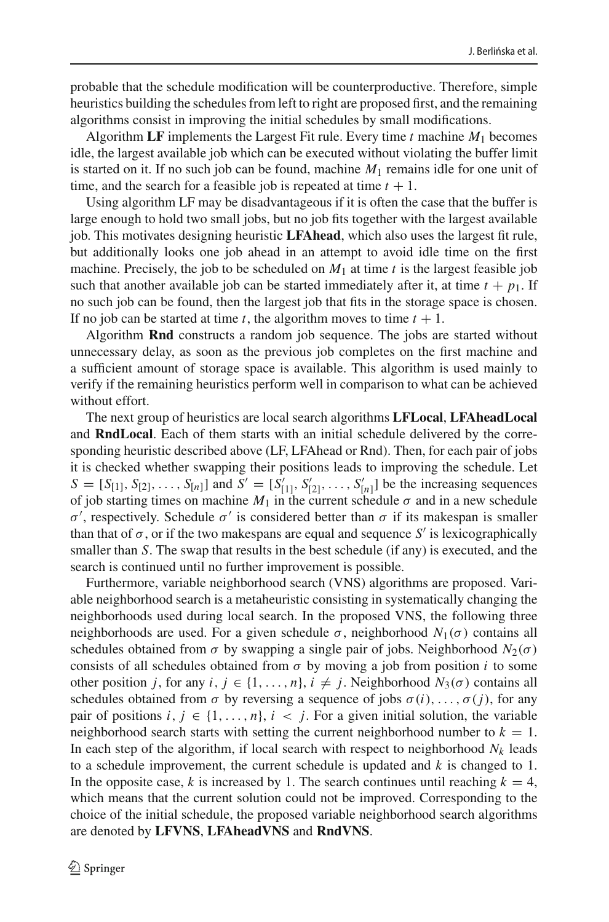probable that the schedule modification will be counterproductive. Therefore, simple heuristics building the schedules from left to right are proposed first, and the remaining algorithms consist in improving the initial schedules by small modifications.

Algorithm **LF** implements the Largest Fit rule. Every time *t* machine *M*<sup>1</sup> becomes idle, the largest available job which can be executed without violating the buffer limit is started on it. If no such job can be found, machine *M*<sup>1</sup> remains idle for one unit of time, and the search for a feasible job is repeated at time  $t + 1$ .

Using algorithm LF may be disadvantageous if it is often the case that the buffer is large enough to hold two small jobs, but no job fits together with the largest available job. This motivates designing heuristic **LFAhead**, which also uses the largest fit rule, but additionally looks one job ahead in an attempt to avoid idle time on the first machine. Precisely, the job to be scheduled on  $M_1$  at time  $t$  is the largest feasible job such that another available job can be started immediately after it, at time  $t + p_1$ . If no such job can be found, then the largest job that fits in the storage space is chosen. If no job can be started at time *t*, the algorithm moves to time  $t + 1$ .

Algorithm **Rnd** constructs a random job sequence. The jobs are started without unnecessary delay, as soon as the previous job completes on the first machine and a sufficient amount of storage space is available. This algorithm is used mainly to verify if the remaining heuristics perform well in comparison to what can be achieved without effort.

The next group of heuristics are local search algorithms **LFLocal**, **LFAheadLocal** and **RndLocal**. Each of them starts with an initial schedule delivered by the corresponding heuristic described above (LF, LFAhead or Rnd). Then, for each pair of jobs it is checked whether swapping their positions leads to improving the schedule. Let  $S = [S_{[1]}, S_{[2]}, \ldots, S_{[n]}]$  and  $S' = [S'_{[1]}, S'_{[2]}, \ldots, S'_{[n]}]$  be the increasing sequences of job starting times on machine  $M_1$  in the current schedule  $\sigma$  and in a new schedule σ', respectively. Schedule σ' is considered better than σ if its makespan is smaller than that of  $\sigma$ , or if the two makespans are equal and sequence *S'* is lexicographically smaller than *S*. The swap that results in the best schedule (if any) is executed, and the search is continued until no further improvement is possible.

Furthermore, variable neighborhood search (VNS) algorithms are proposed. Variable neighborhood search is a metaheuristic consisting in systematically changing the neighborhoods used during local search. In the proposed VNS, the following three neighborhoods are used. For a given schedule  $\sigma$ , neighborhood  $N_1(\sigma)$  contains all schedules obtained from  $\sigma$  by swapping a single pair of jobs. Neighborhood  $N_2(\sigma)$ consists of all schedules obtained from  $\sigma$  by moving a job from position *i* to some other position *j*, for any  $i, j \in \{1, ..., n\}$ ,  $i \neq j$ . Neighborhood  $N_3(\sigma)$  contains all schedules obtained from  $\sigma$  by reversing a sequence of jobs  $\sigma(i), \ldots, \sigma(j)$ , for any pair of positions *i*,  $j \in \{1, \ldots, n\}$ ,  $i \leq j$ . For a given initial solution, the variable neighborhood search starts with setting the current neighborhood number to  $k = 1$ . In each step of the algorithm, if local search with respect to neighborhood  $N_k$  leads to a schedule improvement, the current schedule is updated and *k* is changed to 1. In the opposite case, *k* is increased by 1. The search continues until reaching  $k = 4$ , which means that the current solution could not be improved. Corresponding to the choice of the initial schedule, the proposed variable neighborhood search algorithms are denoted by **LFVNS**, **LFAheadVNS** and **RndVNS**.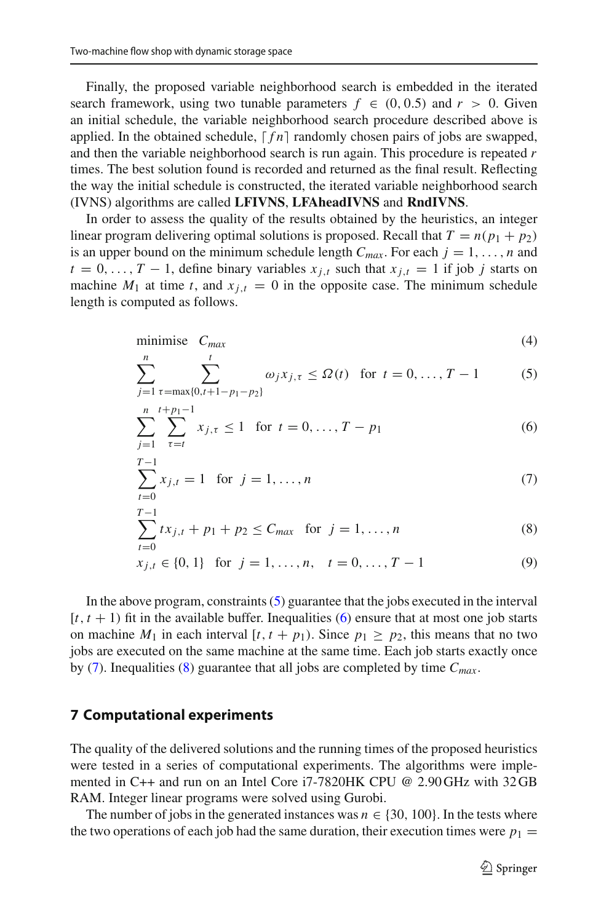Finally, the proposed variable neighborhood search is embedded in the iterated search framework, using two tunable parameters  $f \in (0, 0.5)$  and  $r > 0$ . Given an initial schedule, the variable neighborhood search procedure described above is applied. In the obtained schedule,  $\lceil fn \rceil$  randomly chosen pairs of jobs are swapped, and then the variable neighborhood search is run again. This procedure is repeated *r* times. The best solution found is recorded and returned as the final result. Reflecting the way the initial schedule is constructed, the iterated variable neighborhood search (IVNS) algorithms are called **LFIVNS**, **LFAheadIVNS** and **RndIVNS**.

In order to assess the quality of the results obtained by the heuristics, an integer linear program delivering optimal solutions is proposed. Recall that  $T = n(p_1 + p_2)$ is an upper bound on the minimum schedule length  $C_{max}$ . For each  $j = 1, \ldots, n$  and  $t = 0, \ldots, T - 1$ , define binary variables  $x_{i,t}$  such that  $x_{i,t} = 1$  if job *j* starts on machine  $M_1$  at time *t*, and  $x_{i,t} = 0$  in the opposite case. The minimum schedule length is computed as follows.

<span id="page-12-1"></span>
$$
minimise \tCmax\t(4)
$$

$$
\sum_{j=1}^{n} \sum_{\tau = \max\{0, t+1-p_1-p_2\}}^{t} \omega_j x_{j,\tau} \le \Omega(t) \text{ for } t = 0, ..., T-1
$$
 (5)

$$
\sum_{j=1}^{n} \sum_{\tau=t}^{t+p_1-1} x_{j,\tau} \le 1 \quad \text{for } t = 0, \dots, T-p_1
$$
 (6)

$$
\sum_{t=0}^{T-1} x_{j,t} = 1 \text{ for } j = 1, ..., n
$$
 (7)

$$
\sum_{t=0}^{T-1} tx_{j,t} + p_1 + p_2 \le C_{max} \quad \text{for } j = 1, ..., n
$$
 (8)

$$
x_{j,t} \in \{0, 1\} \text{ for } j = 1, \dots, n, \quad t = 0, \dots, T - 1 \tag{9}
$$

In the above program, constraints  $(5)$  guarantee that the jobs executed in the interval  $[t, t + 1)$  fit in the available buffer. Inequalities [\(6\)](#page-12-1) ensure that at most one job starts on machine  $M_1$  in each interval  $[t, t + p_1)$ . Since  $p_1 \geq p_2$ , this means that no two jobs are executed on the same machine at the same time. Each job starts exactly once by [\(7\)](#page-12-1). Inequalities [\(8\)](#page-12-1) guarantee that all jobs are completed by time *Cmax*.

#### <span id="page-12-0"></span>**7 Computational experiments**

The quality of the delivered solutions and the running times of the proposed heuristics were tested in a series of computational experiments. The algorithms were implemented in C++ and run on an Intel Core i7-7820HK CPU @ 2.90 GHz with 32 GB RAM. Integer linear programs were solved using Gurobi.

The number of jobs in the generated instances was  $n \in \{30, 100\}$ . In the tests where the two operations of each job had the same duration, their execution times were  $p_1 =$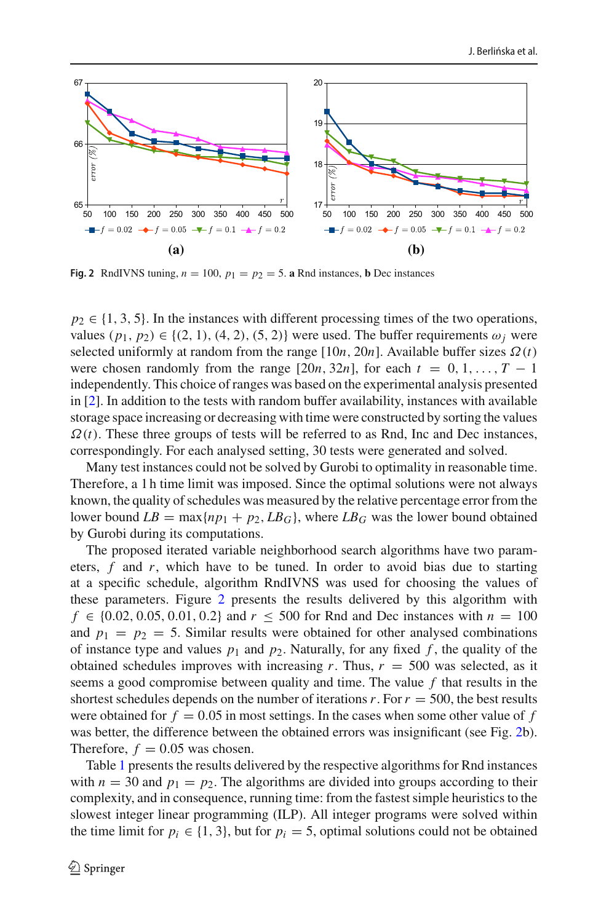

<span id="page-13-0"></span>**Fig. 2** RndIVNS tuning,  $n = 100$ ,  $p_1 = p_2 = 5$ . **a** Rnd instances, **b** Dec instances

 $p_2 \in \{1, 3, 5\}$ . In the instances with different processing times of the two operations, values  $(p_1, p_2) \in \{(2, 1), (4, 2), (5, 2)\}\$  were used. The buffer requirements  $\omega_i$  were selected uniformly at random from the range  $[10n, 20n]$ . Available buffer sizes  $\Omega(t)$ were chosen randomly from the range  $[20n, 32n]$ , for each  $t = 0, 1, \ldots, T - 1$ independently. This choice of ranges was based on the experimental analysis presented in [\[2](#page-21-8)]. In addition to the tests with random buffer availability, instances with available storage space increasing or decreasing with time were constructed by sorting the values  $\Omega(t)$ . These three groups of tests will be referred to as Rnd, Inc and Dec instances, correspondingly. For each analysed setting, 30 tests were generated and solved.

Many test instances could not be solved by Gurobi to optimality in reasonable time. Therefore, a 1 h time limit was imposed. Since the optimal solutions were not always known, the quality of schedules was measured by the relative percentage error from the lower bound  $LB = \max\{np_1 + p_2, LB_G\}$ , where  $LB_G$  was the lower bound obtained by Gurobi during its computations.

The proposed iterated variable neighborhood search algorithms have two parameters, *f* and *r*, which have to be tuned. In order to avoid bias due to starting at a specific schedule, algorithm RndIVNS was used for choosing the values of these parameters. Figure [2](#page-13-0) presents the results delivered by this algorithm with *f* ∈ {0.02, 0.05, 0.01, 0.2} and  $r \le 500$  for Rnd and Dec instances with  $n = 100$ and  $p_1 = p_2 = 5$ . Similar results were obtained for other analysed combinations of instance type and values  $p_1$  and  $p_2$ . Naturally, for any fixed f, the quality of the obtained schedules improves with increasing  $r$ . Thus,  $r = 500$  was selected, as it seems a good compromise between quality and time. The value *f* that results in the shortest schedules depends on the number of iterations  $r$ . For  $r = 500$ , the best results were obtained for  $f = 0.05$  in most settings. In the cases when some other value of  $f$ was better, the difference between the obtained errors was insignificant (see Fig. [2b](#page-13-0)). Therefore,  $f = 0.05$  was chosen.

Table [1](#page-14-0) presents the results delivered by the respective algorithms for Rnd instances with  $n = 30$  and  $p_1 = p_2$ . The algorithms are divided into groups according to their complexity, and in consequence, running time: from the fastest simple heuristics to the slowest integer linear programming (ILP). All integer programs were solved within the time limit for  $p_i \in \{1, 3\}$ , but for  $p_i = 5$ , optimal solutions could not be obtained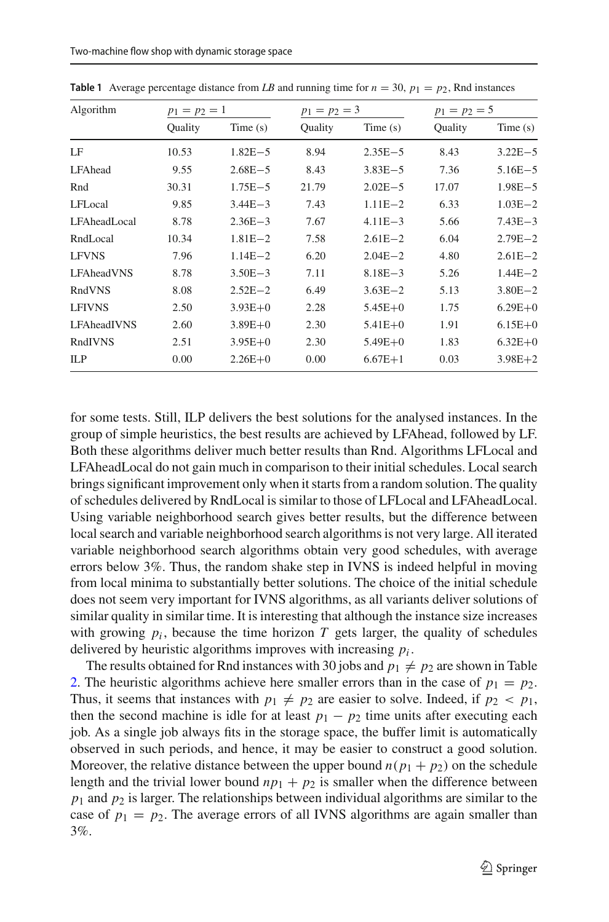| Algorithm         | $p_1 = p_2 = 1$ |             |                | $p_1 = p_2 = 3$ |         | $p_1 = p_2 = 5$ |  |
|-------------------|-----------------|-------------|----------------|-----------------|---------|-----------------|--|
|                   | Quality         | Time(s)     | <b>Ouality</b> | Time(s)         | Ouality | Time(s)         |  |
| LF                | 10.53           | $1.82E - 5$ | 8.94           | $2.35E - 5$     | 8.43    | $3.22E - 5$     |  |
| LFAhead           | 9.55            | $2.68E - 5$ | 8.43           | $3.83E - 5$     | 7.36    | $5.16E - 5$     |  |
| Rnd               | 30.31           | $1.75E - 5$ | 21.79          | $2.02E - 5$     | 17.07   | $1.98E - 5$     |  |
| LFLocal           | 9.85            | $3.44E - 3$ | 7.43           | $1.11E - 2$     | 6.33    | $1.03E - 2$     |  |
| LFAheadLocal      | 8.78            | $2.36E - 3$ | 7.67           | $4.11E - 3$     | 5.66    | $7.43E - 3$     |  |
| RndLocal          | 10.34           | $1.81E - 2$ | 7.58           | $2.61E - 2$     | 6.04    | $2.79E - 2$     |  |
| <b>LFVNS</b>      | 7.96            | $1.14E - 2$ | 6.20           | $2.04E - 2$     | 4.80    | $2.61E - 2$     |  |
| <b>LFAheadVNS</b> | 8.78            | $3.50E - 3$ | 7.11           | $8.18E - 3$     | 5.26    | $1.44E - 2$     |  |
| RndVNS            | 8.08            | $2.52E - 2$ | 6.49           | $3.63E - 2$     | 5.13    | $3.80E - 2$     |  |
| <b>LFIVNS</b>     | 2.50            | $3.93E + 0$ | 2.28           | $5.45E + 0$     | 1.75    | $6.29E + 0$     |  |
| LFAheadIVNS       | 2.60            | $3.89E + 0$ | 2.30           | $5.41E + 0$     | 1.91    | $6.15E + 0$     |  |
| RndIVNS           | 2.51            | $3.95E + 0$ | 2.30           | $5.49E + 0$     | 1.83    | $6.32E + 0$     |  |
| ILP               | 0.00            | $2.26E + 0$ | 0.00           | $6.67E + 1$     | 0.03    | $3.98E + 2$     |  |

<span id="page-14-0"></span>**Table 1** Average percentage distance from *LB* and running time for  $n = 30$ ,  $p_1 = p_2$ , Rnd instances

for some tests. Still, ILP delivers the best solutions for the analysed instances. In the group of simple heuristics, the best results are achieved by LFAhead, followed by LF. Both these algorithms deliver much better results than Rnd. Algorithms LFLocal and LFAheadLocal do not gain much in comparison to their initial schedules. Local search brings significant improvement only when it starts from a random solution. The quality of schedules delivered by RndLocal is similar to those of LFLocal and LFAheadLocal. Using variable neighborhood search gives better results, but the difference between local search and variable neighborhood search algorithms is not very large. All iterated variable neighborhood search algorithms obtain very good schedules, with average errors below 3%. Thus, the random shake step in IVNS is indeed helpful in moving from local minima to substantially better solutions. The choice of the initial schedule does not seem very important for IVNS algorithms, as all variants deliver solutions of similar quality in similar time. It is interesting that although the instance size increases with growing  $p_i$ , because the time horizon  $T$  gets larger, the quality of schedules delivered by heuristic algorithms improves with increasing *pi* .

The results obtained for Rnd instances with 30 jobs and  $p_1 \neq p_2$  are shown in Table [2.](#page-15-0) The heuristic algorithms achieve here smaller errors than in the case of  $p_1 = p_2$ . Thus, it seems that instances with  $p_1 \neq p_2$  are easier to solve. Indeed, if  $p_2 < p_1$ , then the second machine is idle for at least  $p_1 - p_2$  time units after executing each job. As a single job always fits in the storage space, the buffer limit is automatically observed in such periods, and hence, it may be easier to construct a good solution. Moreover, the relative distance between the upper bound  $n(p_1 + p_2)$  on the schedule length and the trivial lower bound  $np_1 + p_2$  is smaller when the difference between *p*<sup>1</sup> and *p*<sup>2</sup> is larger. The relationships between individual algorithms are similar to the case of  $p_1 = p_2$ . The average errors of all IVNS algorithms are again smaller than 3%.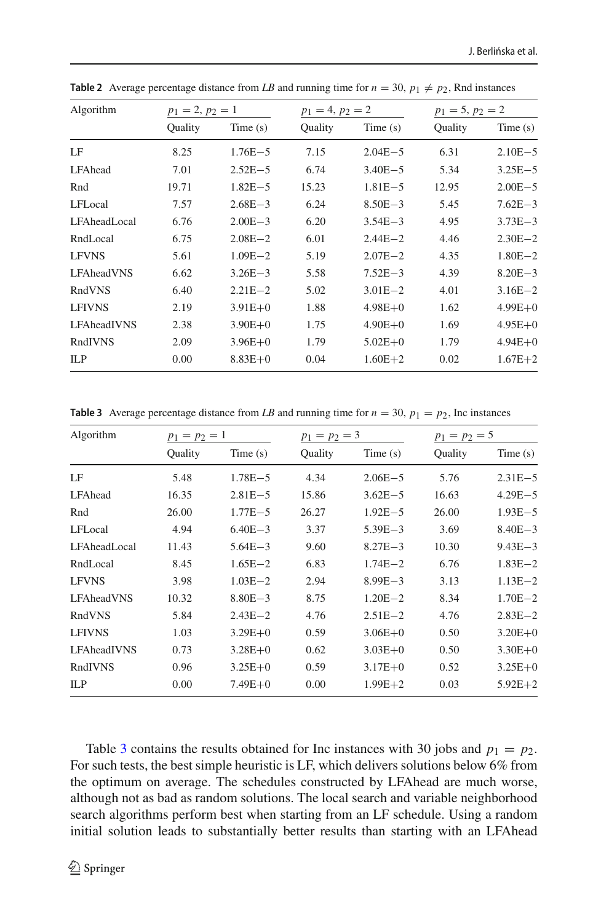| Algorithm          | $p_1 = 2, p_2 = 1$ |             | $p_1 = 4, p_2 = 2$ |             | $p_1 = 5, p_2 = 2$ |             |
|--------------------|--------------------|-------------|--------------------|-------------|--------------------|-------------|
|                    | Quality            | Time(s)     | Quality            | Time(s)     | Quality            | Time(s)     |
| LF                 | 8.25               | $1.76E - 5$ | 7.15               | $2.04E - 5$ | 6.31               | $2.10E - 5$ |
| LFAhead            | 7.01               | $2.52E - 5$ | 6.74               | $3.40E - 5$ | 5.34               | $3.25E - 5$ |
| Rnd                | 19.71              | $1.82E - 5$ | 15.23              | $1.81E - 5$ | 12.95              | $2.00E - 5$ |
| LFLocal            | 7.57               | $2.68E - 3$ | 6.24               | $8.50E - 3$ | 5.45               | $7.62E - 3$ |
| LFAheadLocal       | 6.76               | $2.00E - 3$ | 6.20               | $3.54E - 3$ | 4.95               | $3.73E - 3$ |
| RndLocal           | 6.75               | $2.08E - 2$ | 6.01               | $2.44E - 2$ | 4.46               | $2.30E - 2$ |
| <b>LFVNS</b>       | 5.61               | $1.09E - 2$ | 5.19               | $2.07E - 2$ | 4.35               | $1.80E - 2$ |
| LFAheadVNS         | 6.62               | $3.26E - 3$ | 5.58               | $7.52E - 3$ | 4.39               | $8.20E - 3$ |
| RndVNS             | 6.40               | $2.21E - 2$ | 5.02               | $3.01E - 2$ | 4.01               | $3.16E - 2$ |
| <b>LFIVNS</b>      | 2.19               | $3.91E + 0$ | 1.88               | $4.98E + 0$ | 1.62               | $4.99E + 0$ |
| <b>LFAheadIVNS</b> | 2.38               | $3.90E + 0$ | 1.75               | $4.90E + 0$ | 1.69               | $4.95E + 0$ |
| RndIVNS            | 2.09               | $3.96E + 0$ | 1.79               | $5.02E + 0$ | 1.79               | $4.94E + 0$ |
| ILP                | 0.00               | $8.83E + 0$ | 0.04               | $1.60E + 2$ | 0.02               | $1.67E + 2$ |

<span id="page-15-0"></span>**Table 2** Average percentage distance from LB and running time for  $n = 30$ ,  $p_1 \neq p_2$ , Rnd instances

<span id="page-15-1"></span>**Table 3** Average percentage distance from *LB* and running time for  $n = 30$ ,  $p_1 = p_2$ , Inc instances

| Algorithm         | $p_1 = p_2 = 1$ |             | $p_1 = p_2 = 3$ |             | $p_1 = p_2 = 5$ |             |
|-------------------|-----------------|-------------|-----------------|-------------|-----------------|-------------|
|                   | Quality         | Time(s)     | Quality         | Time(s)     | Quality         | Time(s)     |
| LF                | 5.48            | $1.78E - 5$ | 4.34            | $2.06E - 5$ | 5.76            | $2.31E - 5$ |
| LFAhead           | 16.35           | $2.81E - 5$ | 15.86           | $3.62E - 5$ | 16.63           | $4.29E - 5$ |
| Rnd               | 26.00           | $1.77E - 5$ | 26.27           | $1.92E - 5$ | 26.00           | $1.93E - 5$ |
| LFLocal           | 4.94            | $6.40E - 3$ | 3.37            | $5.39E - 3$ | 3.69            | $8.40E - 3$ |
| LFAheadLocal      | 11.43           | $5.64E - 3$ | 9.60            | $8.27E - 3$ | 10.30           | $9.43E - 3$ |
| RndLocal          | 8.45            | $1.65E - 2$ | 6.83            | $1.74E - 2$ | 6.76            | $1.83E - 2$ |
| <b>LFVNS</b>      | 3.98            | $1.03E - 2$ | 2.94            | $8.99E - 3$ | 3.13            | $1.13E - 2$ |
| <b>LFAheadVNS</b> | 10.32           | $8.80E - 3$ | 8.75            | $1.20E - 2$ | 8.34            | $1.70E - 2$ |
| RndVNS            | 5.84            | $2.43E - 2$ | 4.76            | $2.51E - 2$ | 4.76            | $2.83E - 2$ |
| <b>LFIVNS</b>     | 1.03            | $3.29E + 0$ | 0.59            | $3.06E + 0$ | 0.50            | $3.20E + 0$ |
| LFAheadIVNS       | 0.73            | $3.28E + 0$ | 0.62            | $3.03E + 0$ | 0.50            | $3.30E + 0$ |
| RndIVNS           | 0.96            | $3.25E + 0$ | 0.59            | $3.17E + 0$ | 0.52            | $3.25E+0$   |
| ILP               | 0.00            | $7.49E + 0$ | 0.00            | $1.99E + 2$ | 0.03            | $5.92E + 2$ |
|                   |                 |             |                 |             |                 |             |

Table [3](#page-15-1) contains the results obtained for Inc instances with 30 jobs and  $p_1 = p_2$ . For such tests, the best simple heuristic is LF, which delivers solutions below 6% from the optimum on average. The schedules constructed by LFAhead are much worse, although not as bad as random solutions. The local search and variable neighborhood search algorithms perform best when starting from an LF schedule. Using a random initial solution leads to substantially better results than starting with an LFAhead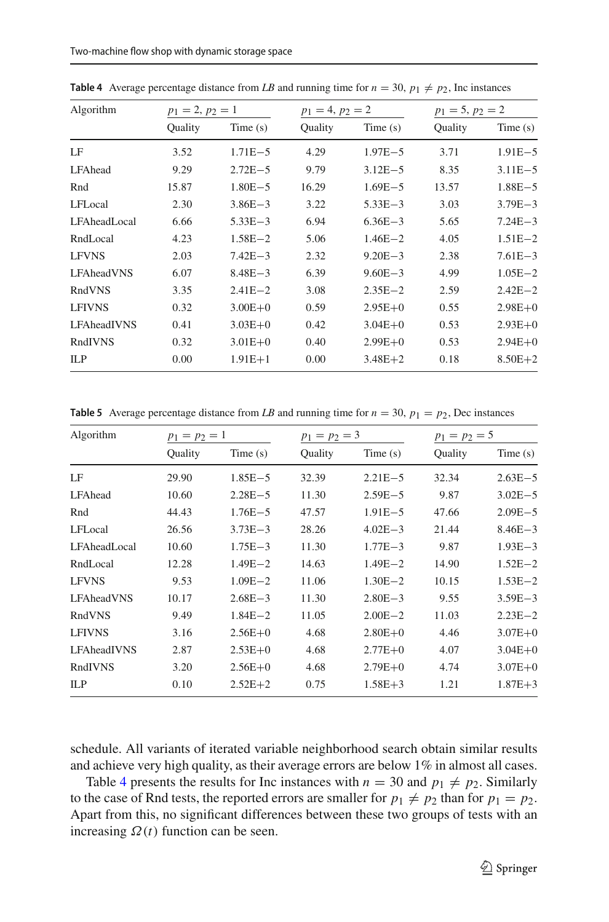| Algorithm      | $p_1 = 2, p_2 = 1$ |             | $p_1 = 4, p_2 = 2$ |             | $p_1 = 5, p_2 = 2$ |             |
|----------------|--------------------|-------------|--------------------|-------------|--------------------|-------------|
|                | Quality            | Time(s)     | <b>Ouality</b>     | Time(s)     | Quality            | Time(s)     |
| LF             | 3.52               | $1.71E - 5$ | 4.29               | $1.97E - 5$ | 3.71               | $1.91E - 5$ |
| <b>LFAhead</b> | 9.29               | $2.72E - 5$ | 9.79               | $3.12E - 5$ | 8.35               | $3.11E - 5$ |
| Rnd            | 15.87              | $1.80E - 5$ | 16.29              | $1.69E - 5$ | 13.57              | $1.88E - 5$ |
| LFLocal        | 2.30               | $3.86E - 3$ | 3.22               | $5.33E - 3$ | 3.03               | $3.79E - 3$ |
| LFAheadLocal   | 6.66               | $5.33E - 3$ | 6.94               | $6.36E - 3$ | 5.65               | $7.24E - 3$ |
| RndLocal       | 4.23               | $1.58E - 2$ | 5.06               | $1.46E - 2$ | 4.05               | $1.51E - 2$ |
| <b>LFVNS</b>   | 2.03               | $7.42E - 3$ | 2.32               | $9.20E - 3$ | 2.38               | $7.61E - 3$ |
| LFAheadVNS     | 6.07               | $8.48E - 3$ | 6.39               | $9.60E - 3$ | 4.99               | $1.05E - 2$ |
| RndVNS         | 3.35               | $2.41E - 2$ | 3.08               | $2.35E - 2$ | 2.59               | $2.42E - 2$ |
| <b>LFIVNS</b>  | 0.32               | $3.00E + 0$ | 0.59               | $2.95E+0$   | 0.55               | $2.98E + 0$ |
| LFAheadIVNS    | 0.41               | $3.03E + 0$ | 0.42               | $3.04E + 0$ | 0.53               | $2.93E+0$   |
| RndIVNS        | 0.32               | $3.01E + 0$ | 0.40               | $2.99E + 0$ | 0.53               | $2.94E + 0$ |
| ILP            | 0.00               | $1.91E + 1$ | 0.00               | $3.48E + 2$ | 0.18               | $8.50E + 2$ |

<span id="page-16-0"></span>**Table 4** Average percentage distance from *LB* and running time for  $n = 30$ ,  $p_1 \neq p_2$ , Inc instances

<span id="page-16-1"></span>**Table 5** Average percentage distance from *LB* and running time for  $n = 30$ ,  $p_1 = p_2$ , Dec instances

| Algorithm<br>LF<br>LFAhead<br>Rnd<br>LFLocal<br>LFAheadLocal<br>RndLocal<br><b>LFVNS</b><br><b>LFAheadVNS</b><br>RndVNS<br><b>LFIVNS</b><br>LFAheadIVNS | $p_1 = p_2 = 1$ |             | $p_1 = p_2 = 3$ |             | $p_1 = p_2 = 5$ |             |
|---------------------------------------------------------------------------------------------------------------------------------------------------------|-----------------|-------------|-----------------|-------------|-----------------|-------------|
|                                                                                                                                                         | Quality         | Time(s)     | Quality         | Time(s)     | Quality         | Time(s)     |
|                                                                                                                                                         | 29.90           | $1.85E - 5$ | 32.39           | $2.21E - 5$ | 32.34           | $2.63E - 5$ |
|                                                                                                                                                         | 10.60           | $2.28E - 5$ | 11.30           | $2.59E - 5$ | 9.87            | $3.02E - 5$ |
|                                                                                                                                                         | 44.43           | $1.76E - 5$ | 47.57           | $1.91E - 5$ | 47.66           | $2.09E - 5$ |
|                                                                                                                                                         | 26.56           | $3.73E - 3$ | 28.26           | $4.02E - 3$ | 21.44           | $8.46E - 3$ |
|                                                                                                                                                         | 10.60           | $1.75E - 3$ | 11.30           | $1.77E - 3$ | 9.87            | $1.93E - 3$ |
|                                                                                                                                                         | 12.28           | $1.49E - 2$ | 14.63           | $1.49E - 2$ | 14.90           | $1.52E - 2$ |
|                                                                                                                                                         | 9.53            | $1.09E - 2$ | 11.06           | $1.30E - 2$ | 10.15           | $1.53E - 2$ |
|                                                                                                                                                         | 10.17           | $2.68E - 3$ | 11.30           | $2.80E - 3$ | 9.55            | $3.59E - 3$ |
|                                                                                                                                                         | 9.49            | $1.84E - 2$ | 11.05           | $2.00E - 2$ | 11.03           | $2.23E - 2$ |
|                                                                                                                                                         | 3.16            | $2.56E+0$   | 4.68            | $2.80E + 0$ | 4.46            | $3.07E + 0$ |
|                                                                                                                                                         | 2.87            | $2.53E+0$   | 4.68            | $2.77E + 0$ | 4.07            | $3.04E + 0$ |
| RndIVNS                                                                                                                                                 | 3.20            | $2.56E+0$   | 4.68            | $2.79E + 0$ | 4.74            | $3.07E + 0$ |
| ILP                                                                                                                                                     | 0.10            | $2.52E+2$   | 0.75            | $1.58E + 3$ | 1.21            | $1.87E + 3$ |
|                                                                                                                                                         |                 |             |                 |             |                 |             |

schedule. All variants of iterated variable neighborhood search obtain similar results and achieve very high quality, as their average errors are below 1% in almost all cases.

Table [4](#page-16-0) presents the results for Inc instances with  $n = 30$  and  $p_1 \neq p_2$ . Similarly to the case of Rnd tests, the reported errors are smaller for  $p_1 \neq p_2$  than for  $p_1 = p_2$ . Apart from this, no significant differences between these two groups of tests with an increasing  $\Omega(t)$  function can be seen.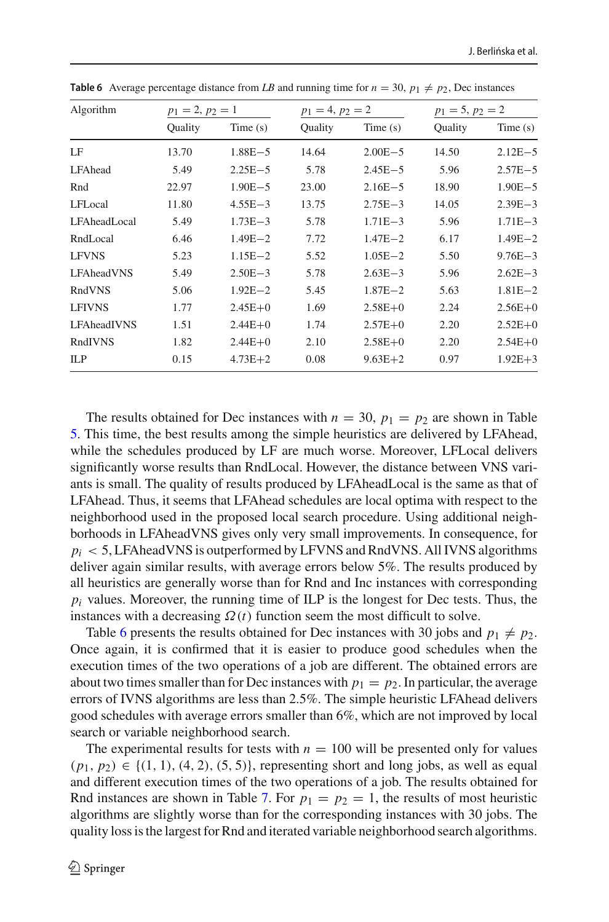| Algorithm<br>LF<br>LFAhead<br>Rnd<br>LFLocal<br>LFAheadLocal<br>RndLocal | $p_1 = 2, p_2 = 1$ |             | $p_1 = 4, p_2 = 2$ |             | $p_1 = 5, p_2 = 2$ |             |
|--------------------------------------------------------------------------|--------------------|-------------|--------------------|-------------|--------------------|-------------|
|                                                                          | Quality            | Time(s)     | Quality            | Time(s)     | Quality            | Time(s)     |
|                                                                          | 13.70              | $1.88E - 5$ | 14.64              | $2.00E - 5$ | 14.50              | $2.12E - 5$ |
|                                                                          | 5.49               | $2.25E - 5$ | 5.78               | $2.45E - 5$ | 5.96               | $2.57E - 5$ |
|                                                                          | 22.97              | $1.90E - 5$ | 23.00              | $2.16E - 5$ | 18.90              | $1.90E - 5$ |
|                                                                          | 11.80              | $4.55E - 3$ | 13.75              | $2.75E - 3$ | 14.05              | $2.39E - 3$ |
|                                                                          | 5.49               | $1.73E - 3$ | 5.78               | $1.71E - 3$ | 5.96               | $1.71E - 3$ |
|                                                                          | 6.46               | $1.49E - 2$ | 7.72               | $1.47E - 2$ | 6.17               | $1.49E - 2$ |
| <b>LFVNS</b>                                                             | 5.23               | $1.15E - 2$ | 5.52               | $1.05E - 2$ | 5.50               | $9.76E - 3$ |
| <b>LFAheadVNS</b>                                                        | 5.49               | $2.50E - 3$ | 5.78               | $2.63E - 3$ | 5.96               | $2.62E - 3$ |
| RndVNS                                                                   | 5.06               | $1.92E - 2$ | 5.45               | $1.87E - 2$ | 5.63               | $1.81E - 2$ |
| <b>LFIVNS</b>                                                            | 1.77               | $2.45E + 0$ | 1.69               | $2.58E + 0$ | 2.24               | $2.56E+0$   |
| LFAheadIVNS                                                              | 1.51               | $2.44E + 0$ | 1.74               | $2.57E + 0$ | 2.20               | $2.52E+0$   |
| RndIVNS                                                                  | 1.82               | $2.44E + 0$ | 2.10               | $2.58E + 0$ | 2.20               | $2.54E + 0$ |
| ILP                                                                      | 0.15               | $4.73E + 2$ | 0.08               | $9.63E + 2$ | 0.97               | $1.92E + 3$ |

<span id="page-17-0"></span>**Table 6** Average percentage distance from LB and running time for  $n = 30$ ,  $p_1 \neq p_2$ , Dec instances

The results obtained for Dec instances with  $n = 30$ ,  $p_1 = p_2$  are shown in Table [5.](#page-16-1) This time, the best results among the simple heuristics are delivered by LFAhead, while the schedules produced by LF are much worse. Moreover, LFLocal delivers significantly worse results than RndLocal. However, the distance between VNS variants is small. The quality of results produced by LFAheadLocal is the same as that of LFAhead. Thus, it seems that LFAhead schedules are local optima with respect to the neighborhood used in the proposed local search procedure. Using additional neighborhoods in LFAheadVNS gives only very small improvements. In consequence, for  $p_i$  < 5, LFAhead VNS is outperformed by LFVNS and RndVNS. All IVNS algorithms deliver again similar results, with average errors below 5%. The results produced by all heuristics are generally worse than for Rnd and Inc instances with corresponding  $p_i$  values. Moreover, the running time of ILP is the longest for Dec tests. Thus, the instances with a decreasing  $\Omega(t)$  function seem the most difficult to solve.

Table [6](#page-17-0) presents the results obtained for Dec instances with 30 jobs and  $p_1 \neq p_2$ . Once again, it is confirmed that it is easier to produce good schedules when the execution times of the two operations of a job are different. The obtained errors are about two times smaller than for Dec instances with  $p_1 = p_2$ . In particular, the average errors of IVNS algorithms are less than 2.5%. The simple heuristic LFAhead delivers good schedules with average errors smaller than 6%, which are not improved by local search or variable neighborhood search.

The experimental results for tests with  $n = 100$  will be presented only for values  $(p_1, p_2) \in \{(1, 1), (4, 2), (5, 5)\}$ , representing short and long jobs, as well as equal and different execution times of the two operations of a job. The results obtained for Rnd instances are shown in Table [7.](#page-18-0) For  $p_1 = p_2 = 1$ , the results of most heuristic algorithms are slightly worse than for the corresponding instances with 30 jobs. The quality loss is the largest for Rnd and iterated variable neighborhood search algorithms.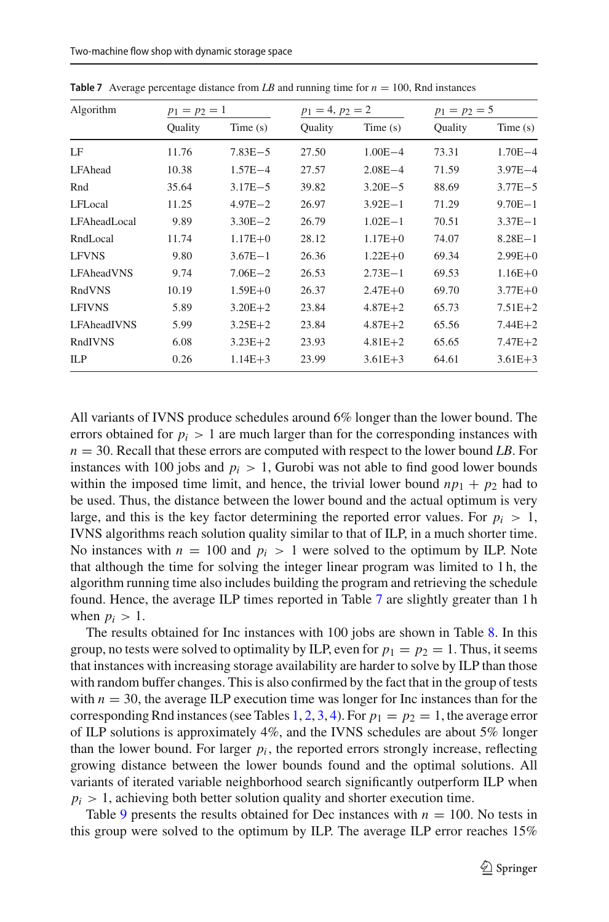| Algorithm     | $p_1 = p_2 = 1$ |             | $p_1 = 4, p_2 = 2$ |             | $p_1 = p_2 = 5$ |             |
|---------------|-----------------|-------------|--------------------|-------------|-----------------|-------------|
|               | Quality         | Time(s)     | <b>Ouality</b>     | Time $(s)$  | <b>Ouality</b>  | Time(s)     |
| LF            | 11.76           | $7.83E - 5$ | 27.50              | $1.00E - 4$ | 73.31           | $1.70E - 4$ |
| LFAhead       | 10.38           | $1.57E - 4$ | 27.57              | $2.08E - 4$ | 71.59           | $3.97E - 4$ |
| Rnd           | 35.64           | $3.17E - 5$ | 39.82              | $3.20E - 5$ | 88.69           | $3.77E - 5$ |
| LFLocal       | 11.25           | $4.97E - 2$ | 26.97              | $3.92E - 1$ | 71.29           | $9.70E - 1$ |
| LFAheadLocal  | 9.89            | $3.30E - 2$ | 26.79              | $1.02E - 1$ | 70.51           | $3.37E - 1$ |
| RndLocal      | 11.74           | $1.17E + 0$ | 28.12              | $1.17E + 0$ | 74.07           | $8.28E - 1$ |
| <b>LFVNS</b>  | 9.80            | $3.67E - 1$ | 26.36              | $1.22E + 0$ | 69.34           | $2.99E + 0$ |
| LFAheadVNS    | 9.74            | $7.06E - 2$ | 26.53              | $2.73E - 1$ | 69.53           | $1.16E + 0$ |
| RndVNS        | 10.19           | $1.59E + 0$ | 26.37              | $2.47E + 0$ | 69.70           | $3.77E + 0$ |
| <b>LFIVNS</b> | 5.89            | $3.20E + 2$ | 23.84              | $4.87E + 2$ | 65.73           | $7.51E + 2$ |
| LFAheadIVNS   | 5.99            | $3.25E + 2$ | 23.84              | $4.87E + 2$ | 65.56           | $7.44E + 2$ |
| RndIVNS       | 6.08            | $3.23E + 2$ | 23.93              | $4.81E + 2$ | 65.65           | $7.47E + 2$ |
| ILP           | 0.26            | $1.14E + 3$ | 23.99              | $3.61E + 3$ | 64.61           | $3.61E + 3$ |

<span id="page-18-0"></span>**Table 7** Average percentage distance from *LB* and running time for  $n = 100$ , Rnd instances

All variants of IVNS produce schedules around 6% longer than the lower bound. The errors obtained for  $p_i > 1$  are much larger than for the corresponding instances with *n* = 30. Recall that these errors are computed with respect to the lower bound *LB*. For instances with 100 jobs and  $p_i > 1$ , Gurobi was not able to find good lower bounds within the imposed time limit, and hence, the trivial lower bound  $np_1 + p_2$  had to be used. Thus, the distance between the lower bound and the actual optimum is very large, and this is the key factor determining the reported error values. For  $p_i > 1$ , IVNS algorithms reach solution quality similar to that of ILP, in a much shorter time. No instances with  $n = 100$  and  $p_i > 1$  were solved to the optimum by ILP. Note that although the time for solving the integer linear program was limited to 1 h, the algorithm running time also includes building the program and retrieving the schedule found. Hence, the average ILP times reported in Table [7](#page-18-0) are slightly greater than 1 h when  $p_i > 1$ .

The results obtained for Inc instances with 100 jobs are shown in Table [8.](#page-19-0) In this group, no tests were solved to optimality by ILP, even for  $p_1 = p_2 = 1$ . Thus, it seems that instances with increasing storage availability are harder to solve by ILP than those with random buffer changes. This is also confirmed by the fact that in the group of tests with  $n = 30$ , the average ILP execution time was longer for Inc instances than for the corresponding Rnd instances (see Tables [1,](#page-14-0) [2,](#page-15-0) [3,](#page-15-1) [4\)](#page-16-0). For  $p_1 = p_2 = 1$ , the average error of ILP solutions is approximately 4%, and the IVNS schedules are about 5% longer than the lower bound. For larger  $p_i$ , the reported errors strongly increase, reflecting growing distance between the lower bounds found and the optimal solutions. All variants of iterated variable neighborhood search significantly outperform ILP when  $p_i > 1$ , achieving both better solution quality and shorter execution time.

Table [9](#page-19-1) presents the results obtained for Dec instances with  $n = 100$ . No tests in this group were solved to the optimum by ILP. The average ILP error reaches 15%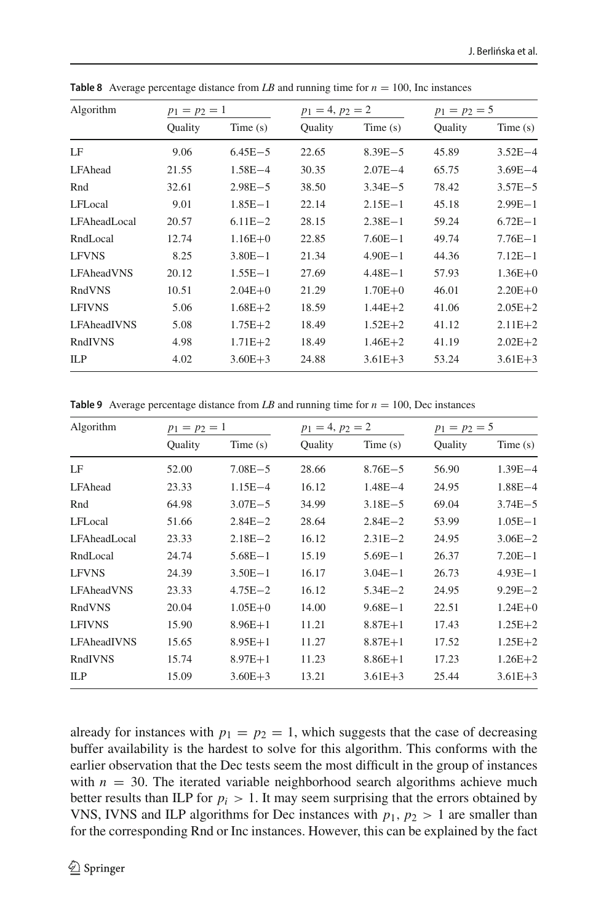| Algorithm     | $p_1 = p_2 = 1$ |             | $p_1 = 4, p_2 = 2$ |             | $p_1 = p_2 = 5$ |             |
|---------------|-----------------|-------------|--------------------|-------------|-----------------|-------------|
|               | Quality         | Time(s)     | Quality            | Time(s)     | Quality         | Time(s)     |
| LF            | 9.06            | $6.45E - 5$ | 22.65              | $8.39E - 5$ | 45.89           | $3.52E - 4$ |
| LFAhead       | 21.55           | $1.58E - 4$ | 30.35              | $2.07E - 4$ | 65.75           | $3.69E - 4$ |
| Rnd           | 32.61           | $2.98E - 5$ | 38.50              | $3.34E - 5$ | 78.42           | $3.57E - 5$ |
| LFLocal       | 9.01            | $1.85E - 1$ | 22.14              | $2.15E - 1$ | 45.18           | $2.99E - 1$ |
| LFAheadLocal  | 20.57           | $6.11E - 2$ | 28.15              | $2.38E - 1$ | 59.24           | $6.72E - 1$ |
| RndLocal      | 12.74           | $1.16E + 0$ | 22.85              | $7.60E - 1$ | 49.74           | $7.76E - 1$ |
| <b>LFVNS</b>  | 8.25            | $3.80E - 1$ | 21.34              | $4.90E - 1$ | 44.36           | $7.12E - 1$ |
| LFAheadVNS    | 20.12           | $1.55E - 1$ | 27.69              | $4.48E - 1$ | 57.93           | $1.36E + 0$ |
| RndVNS        | 10.51           | $2.04E + 0$ | 21.29              | $1.70E + 0$ | 46.01           | $2.20E + 0$ |
| <b>LFIVNS</b> | 5.06            | $1.68E + 2$ | 18.59              | $1.44E + 2$ | 41.06           | $2.05E + 2$ |
| LFAheadIVNS   | 5.08            | $1.75E + 2$ | 18.49              | $1.52E + 2$ | 41.12           | $2.11E + 2$ |
| RndIVNS       | 4.98            | $1.71E + 2$ | 18.49              | $1.46E + 2$ | 41.19           | $2.02E + 2$ |
| ILP           | 4.02            | $3.60E + 3$ | 24.88              | $3.61E + 3$ | 53.24           | $3.61E + 3$ |

<span id="page-19-0"></span>**Table 8** Average percentage distance from *LB* and running time for  $n = 100$ , Inc instances

<span id="page-19-1"></span>**Table 9** Average percentage distance from *LB* and running time for  $n = 100$ , Dec instances

| Algorithm         | $p_1 = p_2 = 1$ |             | $p_1 = 4, p_2 = 2$ |             | $p_1 = p_2 = 5$ |             |
|-------------------|-----------------|-------------|--------------------|-------------|-----------------|-------------|
|                   | Quality         | Time(s)     | <b>Ouality</b>     | Time $(s)$  | Ouality         | Time(s)     |
| LF                | 52.00           | $7.08E - 5$ | 28.66              | $8.76E - 5$ | 56.90           | $1.39E - 4$ |
| LFAhead           | 23.33           | $1.15E - 4$ | 16.12              | $1.48E - 4$ | 24.95           | $1.88E - 4$ |
| Rnd               | 64.98           | $3.07E - 5$ | 34.99              | $3.18E - 5$ | 69.04           | $3.74E - 5$ |
| LFLocal           | 51.66           | $2.84E - 2$ | 28.64              | $2.84E - 2$ | 53.99           | $1.05E - 1$ |
| LFAheadLocal      | 23.33           | $2.18E - 2$ | 16.12              | $2.31E - 2$ | 24.95           | $3.06E - 2$ |
| RndLocal          | 24.74           | $5.68E - 1$ | 15.19              | $5.69E - 1$ | 26.37           | $7.20E - 1$ |
| <b>LFVNS</b>      | 24.39           | $3.50E - 1$ | 16.17              | $3.04E - 1$ | 26.73           | $4.93E - 1$ |
| <b>LFAheadVNS</b> | 23.33           | $4.75E - 2$ | 16.12              | $5.34E - 2$ | 24.95           | $9.29E - 2$ |
| RndVNS            | 20.04           | $1.05E + 0$ | 14.00              | $9.68E - 1$ | 22.51           | $1.24E + 0$ |
| <b>LFIVNS</b>     | 15.90           | $8.96E+1$   | 11.21              | $8.87E + 1$ | 17.43           | $1.25E + 2$ |
| LFAheadIVNS       | 15.65           | $8.95E+1$   | 11.27              | $8.87E + 1$ | 17.52           | $1.25E + 2$ |
| RndIVNS           | 15.74           | $8.97E + 1$ | 11.23              | $8.86E + 1$ | 17.23           | $1.26E + 2$ |
| ILP               | 15.09           | $3.60E + 3$ | 13.21              | $3.61E + 3$ | 25.44           | $3.61E + 3$ |
|                   |                 |             |                    |             |                 |             |

already for instances with  $p_1 = p_2 = 1$ , which suggests that the case of decreasing buffer availability is the hardest to solve for this algorithm. This conforms with the earlier observation that the Dec tests seem the most difficult in the group of instances with  $n = 30$ . The iterated variable neighborhood search algorithms achieve much better results than ILP for  $p_i > 1$ . It may seem surprising that the errors obtained by VNS, IVNS and ILP algorithms for Dec instances with  $p_1$ ,  $p_2 > 1$  are smaller than for the corresponding Rnd or Inc instances. However, this can be explained by the fact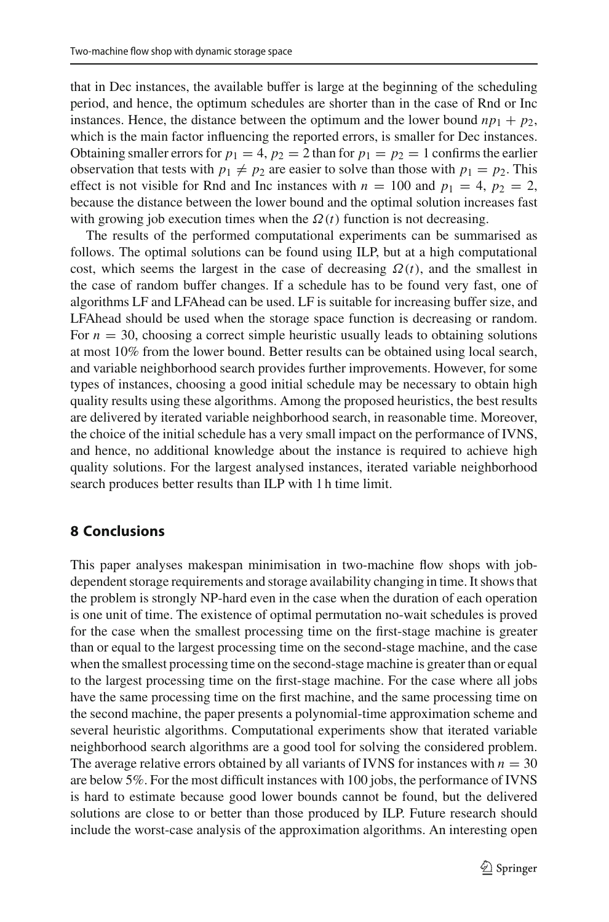that in Dec instances, the available buffer is large at the beginning of the scheduling period, and hence, the optimum schedules are shorter than in the case of Rnd or Inc instances. Hence, the distance between the optimum and the lower bound  $np_1 + p_2$ , which is the main factor influencing the reported errors, is smaller for Dec instances. Obtaining smaller errors for  $p_1 = 4$ ,  $p_2 = 2$  than for  $p_1 = p_2 = 1$  confirms the earlier observation that tests with  $p_1 \neq p_2$  are easier to solve than those with  $p_1 = p_2$ . This effect is not visible for Rnd and Inc instances with  $n = 100$  and  $p_1 = 4$ ,  $p_2 = 2$ , because the distance between the lower bound and the optimal solution increases fast with growing job execution times when the  $\Omega(t)$  function is not decreasing.

The results of the performed computational experiments can be summarised as follows. The optimal solutions can be found using ILP, but at a high computational cost, which seems the largest in the case of decreasing  $\Omega(t)$ , and the smallest in the case of random buffer changes. If a schedule has to be found very fast, one of algorithms LF and LFAhead can be used. LF is suitable for increasing buffer size, and LFAhead should be used when the storage space function is decreasing or random. For  $n = 30$ , choosing a correct simple heuristic usually leads to obtaining solutions at most 10% from the lower bound. Better results can be obtained using local search, and variable neighborhood search provides further improvements. However, for some types of instances, choosing a good initial schedule may be necessary to obtain high quality results using these algorithms. Among the proposed heuristics, the best results are delivered by iterated variable neighborhood search, in reasonable time. Moreover, the choice of the initial schedule has a very small impact on the performance of IVNS, and hence, no additional knowledge about the instance is required to achieve high quality solutions. For the largest analysed instances, iterated variable neighborhood search produces better results than ILP with 1 h time limit.

## **8 Conclusions**

This paper analyses makespan minimisation in two-machine flow shops with jobdependent storage requirements and storage availability changing in time. It shows that the problem is strongly NP-hard even in the case when the duration of each operation is one unit of time. The existence of optimal permutation no-wait schedules is proved for the case when the smallest processing time on the first-stage machine is greater than or equal to the largest processing time on the second-stage machine, and the case when the smallest processing time on the second-stage machine is greater than or equal to the largest processing time on the first-stage machine. For the case where all jobs have the same processing time on the first machine, and the same processing time on the second machine, the paper presents a polynomial-time approximation scheme and several heuristic algorithms. Computational experiments show that iterated variable neighborhood search algorithms are a good tool for solving the considered problem. The average relative errors obtained by all variants of IVNS for instances with  $n = 30$ are below 5%. For the most difficult instances with 100 jobs, the performance of IVNS is hard to estimate because good lower bounds cannot be found, but the delivered solutions are close to or better than those produced by ILP. Future research should include the worst-case analysis of the approximation algorithms. An interesting open